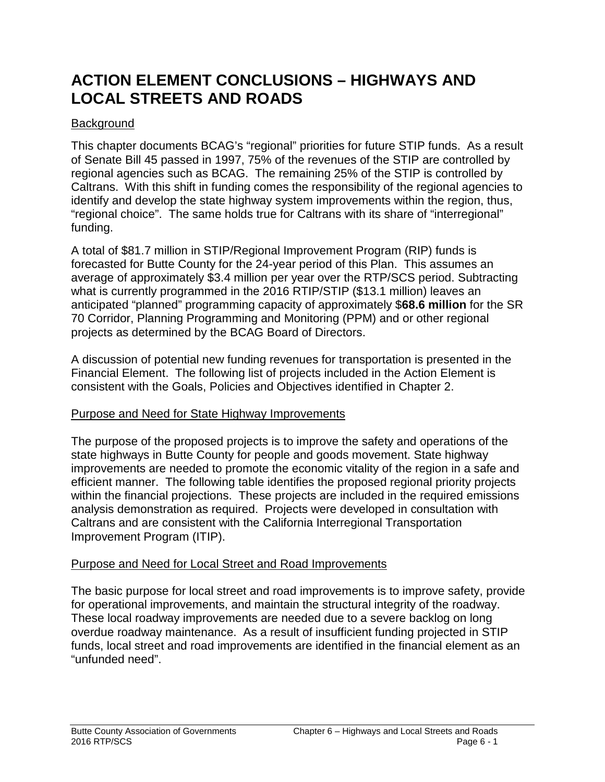# **ACTION ELEMENT CONCLUSIONS – HIGHWAYS AND LOCAL STREETS AND ROADS**

# **Background**

This chapter documents BCAG's "regional" priorities for future STIP funds. As a result of Senate Bill 45 passed in 1997, 75% of the revenues of the STIP are controlled by regional agencies such as BCAG. The remaining 25% of the STIP is controlled by Caltrans. With this shift in funding comes the responsibility of the regional agencies to identify and develop the state highway system improvements within the region, thus, "regional choice". The same holds true for Caltrans with its share of "interregional" funding.

A total of \$81.7 million in STIP/Regional Improvement Program (RIP) funds is forecasted for Butte County for the 24-year period of this Plan. This assumes an average of approximately \$3.4 million per year over the RTP/SCS period. Subtracting what is currently programmed in the 2016 RTIP/STIP (\$13.1 million) leaves an anticipated "planned" programming capacity of approximately \$**68.6 million** for the SR 70 Corridor, Planning Programming and Monitoring (PPM) and or other regional projects as determined by the BCAG Board of Directors.

A discussion of potential new funding revenues for transportation is presented in the Financial Element. The following list of projects included in the Action Element is consistent with the Goals, Policies and Objectives identified in Chapter 2.

#### Purpose and Need for State Highway Improvements

The purpose of the proposed projects is to improve the safety and operations of the state highways in Butte County for people and goods movement. State highway improvements are needed to promote the economic vitality of the region in a safe and efficient manner. The following table identifies the proposed regional priority projects within the financial projections. These projects are included in the required emissions analysis demonstration as required. Projects were developed in consultation with Caltrans and are consistent with the California Interregional Transportation Improvement Program (ITIP).

#### Purpose and Need for Local Street and Road Improvements

The basic purpose for local street and road improvements is to improve safety, provide for operational improvements, and maintain the structural integrity of the roadway. These local roadway improvements are needed due to a severe backlog on long overdue roadway maintenance. As a result of insufficient funding projected in STIP funds, local street and road improvements are identified in the financial element as an "unfunded need".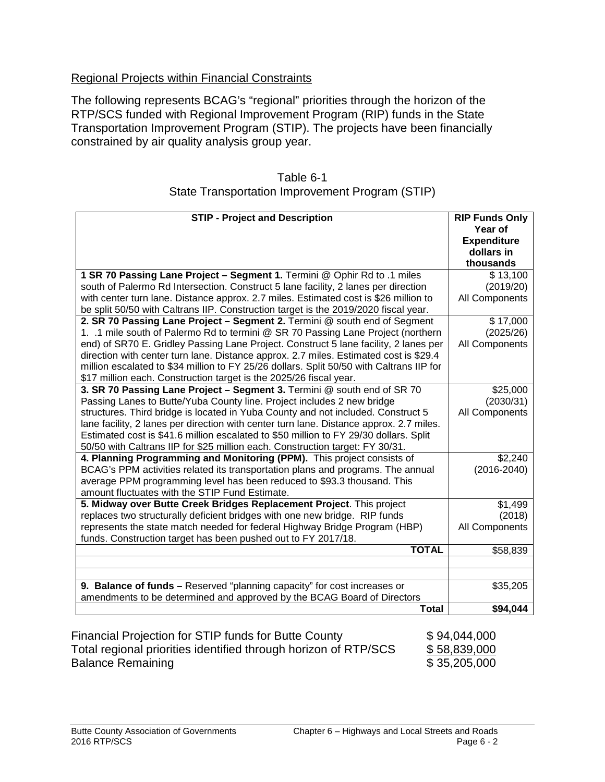# Regional Projects within Financial Constraints

The following represents BCAG's "regional" priorities through the horizon of the RTP/SCS funded with Regional Improvement Program (RIP) funds in the State Transportation Improvement Program (STIP). The projects have been financially constrained by air quality analysis group year.

| Table 6-1                                       |  |
|-------------------------------------------------|--|
| State Transportation Improvement Program (STIP) |  |

| <b>STIP - Project and Description</b>                                                                                                                                                                                                                                                                                                                                                                                                                                                                            | <b>RIP Funds Only</b><br>Year of<br><b>Expenditure</b><br>dollars in |
|------------------------------------------------------------------------------------------------------------------------------------------------------------------------------------------------------------------------------------------------------------------------------------------------------------------------------------------------------------------------------------------------------------------------------------------------------------------------------------------------------------------|----------------------------------------------------------------------|
|                                                                                                                                                                                                                                                                                                                                                                                                                                                                                                                  | thousands                                                            |
| 1 SR 70 Passing Lane Project - Segment 1. Termini @ Ophir Rd to .1 miles<br>south of Palermo Rd Intersection. Construct 5 lane facility, 2 lanes per direction<br>with center turn lane. Distance approx. 2.7 miles. Estimated cost is \$26 million to                                                                                                                                                                                                                                                           | \$13,100<br>(2019/20)<br>All Components                              |
| be split 50/50 with Caltrans IIP. Construction target is the 2019/2020 fiscal year.                                                                                                                                                                                                                                                                                                                                                                                                                              |                                                                      |
| 2. SR 70 Passing Lane Project - Segment 2. Termini @ south end of Segment<br>1. .1 mile south of Palermo Rd to termini @ SR 70 Passing Lane Project (northern<br>end) of SR70 E. Gridley Passing Lane Project. Construct 5 lane facility, 2 lanes per<br>direction with center turn lane. Distance approx. 2.7 miles. Estimated cost is \$29.4<br>million escalated to \$34 million to FY 25/26 dollars. Split 50/50 with Caltrans IIP for<br>\$17 million each. Construction target is the 2025/26 fiscal year. | \$17,000<br>(2025/26)<br>All Components                              |
| 3. SR 70 Passing Lane Project - Segment 3. Termini @ south end of SR 70<br>Passing Lanes to Butte/Yuba County line. Project includes 2 new bridge<br>structures. Third bridge is located in Yuba County and not included. Construct 5<br>lane facility, 2 lanes per direction with center turn lane. Distance approx. 2.7 miles.<br>Estimated cost is \$41.6 million escalated to \$50 million to FY 29/30 dollars. Split<br>50/50 with Caltrans IIP for \$25 million each. Construction target: FY 30/31.       | \$25,000<br>(2030/31)<br>All Components                              |
| 4. Planning Programming and Monitoring (PPM). This project consists of<br>BCAG's PPM activities related its transportation plans and programs. The annual<br>average PPM programming level has been reduced to \$93.3 thousand. This<br>amount fluctuates with the STIP Fund Estimate.                                                                                                                                                                                                                           | \$2,240<br>$(2016 - 2040)$                                           |
| 5. Midway over Butte Creek Bridges Replacement Project. This project                                                                                                                                                                                                                                                                                                                                                                                                                                             | \$1,499                                                              |
| replaces two structurally deficient bridges with one new bridge. RIP funds                                                                                                                                                                                                                                                                                                                                                                                                                                       | (2018)                                                               |
| represents the state match needed for federal Highway Bridge Program (HBP)<br>funds. Construction target has been pushed out to FY 2017/18.                                                                                                                                                                                                                                                                                                                                                                      | All Components                                                       |
| <b>TOTAL</b>                                                                                                                                                                                                                                                                                                                                                                                                                                                                                                     | \$58,839                                                             |
|                                                                                                                                                                                                                                                                                                                                                                                                                                                                                                                  |                                                                      |
| 9. Balance of funds - Reserved "planning capacity" for cost increases or<br>amendments to be determined and approved by the BCAG Board of Directors                                                                                                                                                                                                                                                                                                                                                              | \$35,205                                                             |
| <b>Total</b>                                                                                                                                                                                                                                                                                                                                                                                                                                                                                                     | \$94,044                                                             |
| Financial Projection for STIP funds for Butte County<br>Total regional priorities identified through horizon of RTP/SCS                                                                                                                                                                                                                                                                                                                                                                                          | \$94,044,000<br>\$58,839,000                                         |

Balance Remaining **\$ 35,205,000**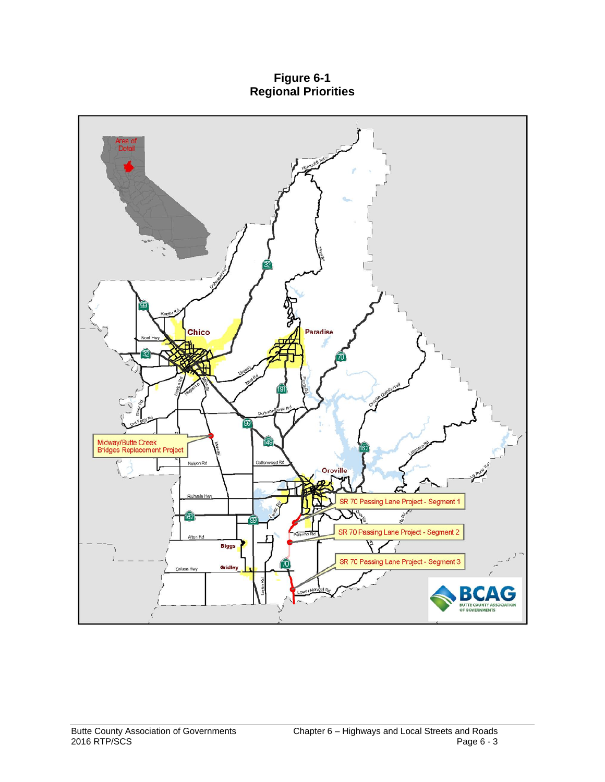**Figure 6-1 Regional Priorities**

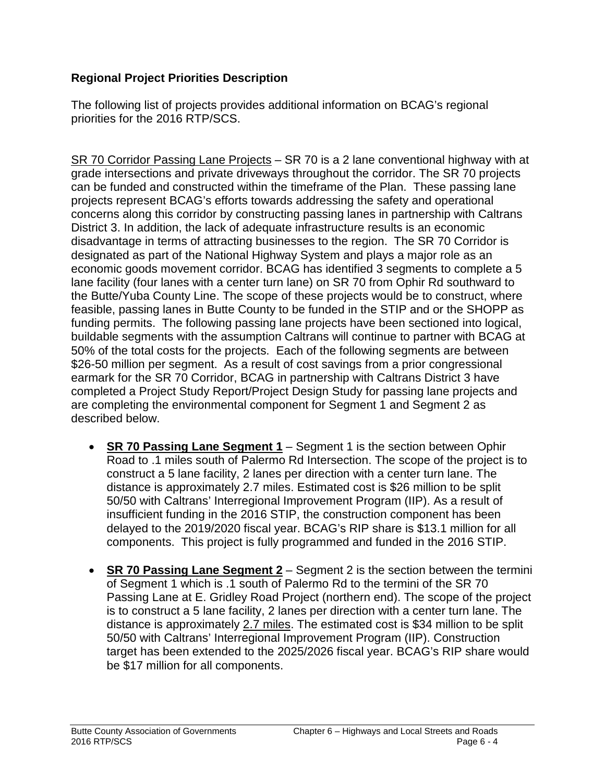# **Regional Project Priorities Description**

The following list of projects provides additional information on BCAG's regional priorities for the 2016 RTP/SCS.

SR 70 Corridor Passing Lane Projects – SR 70 is a 2 lane conventional highway with at grade intersections and private driveways throughout the corridor. The SR 70 projects can be funded and constructed within the timeframe of the Plan. These passing lane projects represent BCAG's efforts towards addressing the safety and operational concerns along this corridor by constructing passing lanes in partnership with Caltrans District 3. In addition, the lack of adequate infrastructure results is an economic disadvantage in terms of attracting businesses to the region. The SR 70 Corridor is designated as part of the National Highway System and plays a major role as an economic goods movement corridor. BCAG has identified 3 segments to complete a 5 lane facility (four lanes with a center turn lane) on SR 70 from Ophir Rd southward to the Butte/Yuba County Line. The scope of these projects would be to construct, where feasible, passing lanes in Butte County to be funded in the STIP and or the SHOPP as funding permits. The following passing lane projects have been sectioned into logical, buildable segments with the assumption Caltrans will continue to partner with BCAG at 50% of the total costs for the projects. Each of the following segments are between \$26-50 million per segment. As a result of cost savings from a prior congressional earmark for the SR 70 Corridor, BCAG in partnership with Caltrans District 3 have completed a Project Study Report/Project Design Study for passing lane projects and are completing the environmental component for Segment 1 and Segment 2 as described below.

- **SR 70 Passing Lane Segment 1** Segment 1 is the section between Ophir Road to .1 miles south of Palermo Rd Intersection. The scope of the project is to construct a 5 lane facility, 2 lanes per direction with a center turn lane. The distance is approximately 2.7 miles. Estimated cost is \$26 million to be split 50/50 with Caltrans' Interregional Improvement Program (IIP). As a result of insufficient funding in the 2016 STIP, the construction component has been delayed to the 2019/2020 fiscal year. BCAG's RIP share is \$13.1 million for all components. This project is fully programmed and funded in the 2016 STIP.
- **SR 70 Passing Lane Segment 2** Segment 2 is the section between the termini of Segment 1 which is .1 south of Palermo Rd to the termini of the SR 70 Passing Lane at E. Gridley Road Project (northern end). The scope of the project is to construct a 5 lane facility, 2 lanes per direction with a center turn lane. The distance is approximately 2.7 miles. The estimated cost is \$34 million to be split 50/50 with Caltrans' Interregional Improvement Program (IIP). Construction target has been extended to the 2025/2026 fiscal year. BCAG's RIP share would be \$17 million for all components.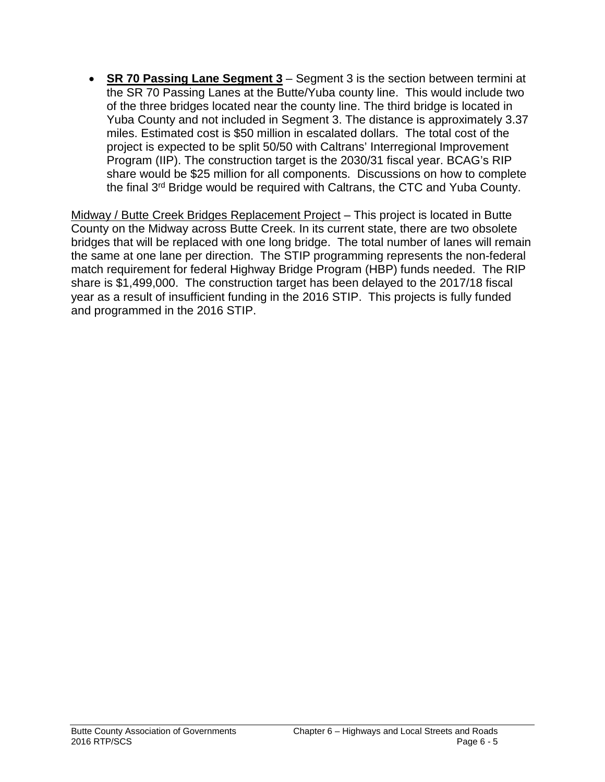• **SR 70 Passing Lane Segment 3** – Segment 3 is the section between termini at the SR 70 Passing Lanes at the Butte/Yuba county line. This would include two of the three bridges located near the county line. The third bridge is located in Yuba County and not included in Segment 3. The distance is approximately 3.37 miles. Estimated cost is \$50 million in escalated dollars. The total cost of the project is expected to be split 50/50 with Caltrans' Interregional Improvement Program (IIP). The construction target is the 2030/31 fiscal year. BCAG's RIP share would be \$25 million for all components. Discussions on how to complete the final 3rd Bridge would be required with Caltrans, the CTC and Yuba County.

Midway / Butte Creek Bridges Replacement Project – This project is located in Butte County on the Midway across Butte Creek. In its current state, there are two obsolete bridges that will be replaced with one long bridge. The total number of lanes will remain the same at one lane per direction. The STIP programming represents the non-federal match requirement for federal Highway Bridge Program (HBP) funds needed. The RIP share is \$1,499,000. The construction target has been delayed to the 2017/18 fiscal year as a result of insufficient funding in the 2016 STIP. This projects is fully funded and programmed in the 2016 STIP.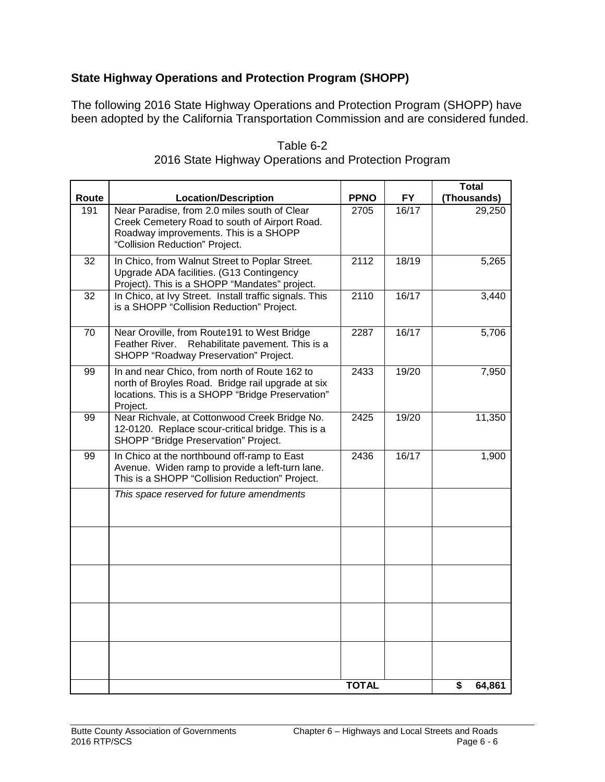# **State Highway Operations and Protection Program (SHOPP)**

The following 2016 State Highway Operations and Protection Program (SHOPP) have been adopted by the California Transportation Commission and are considered funded.

|                 |                                                                                                                                                                          |              |           | Total        |
|-----------------|--------------------------------------------------------------------------------------------------------------------------------------------------------------------------|--------------|-----------|--------------|
| Route           | <b>Location/Description</b>                                                                                                                                              | <b>PPNO</b>  | <b>FY</b> | (Thousands)  |
| 191             | Near Paradise, from 2.0 miles south of Clear<br>Creek Cemetery Road to south of Airport Road.<br>Roadway improvements. This is a SHOPP<br>"Collision Reduction" Project. | 2705         | 16/17     | 29,250       |
| 32              | In Chico, from Walnut Street to Poplar Street.<br>Upgrade ADA facilities. (G13 Contingency<br>Project). This is a SHOPP "Mandates" project.                              | 2112         | 18/19     | 5,265        |
| $\overline{32}$ | In Chico, at Ivy Street. Install traffic signals. This<br>is a SHOPP "Collision Reduction" Project.                                                                      | 2110         | 16/17     | 3,440        |
| 70              | Near Oroville, from Route191 to West Bridge<br>Feather River.<br>Rehabilitate pavement. This is a<br>SHOPP "Roadway Preservation" Project.                               | 2287         | 16/17     | 5,706        |
| 99              | In and near Chico, from north of Route 162 to<br>north of Broyles Road. Bridge rail upgrade at six<br>locations. This is a SHOPP "Bridge Preservation"<br>Project.       | 2433         | 19/20     | 7,950        |
| 99              | Near Richvale, at Cottonwood Creek Bridge No.<br>12-0120. Replace scour-critical bridge. This is a<br>SHOPP "Bridge Preservation" Project.                               | 2425         | 19/20     | 11,350       |
| 99              | In Chico at the northbound off-ramp to East<br>Avenue. Widen ramp to provide a left-turn lane.<br>This is a SHOPP "Collision Reduction" Project.                         | 2436         | 16/17     | 1,900        |
|                 | This space reserved for future amendments                                                                                                                                |              |           |              |
|                 |                                                                                                                                                                          |              |           |              |
|                 |                                                                                                                                                                          |              |           |              |
|                 |                                                                                                                                                                          |              |           |              |
|                 |                                                                                                                                                                          |              |           |              |
|                 |                                                                                                                                                                          | <b>TOTAL</b> |           | \$<br>64,861 |

#### Table 6-2 2016 State Highway Operations and Protection Program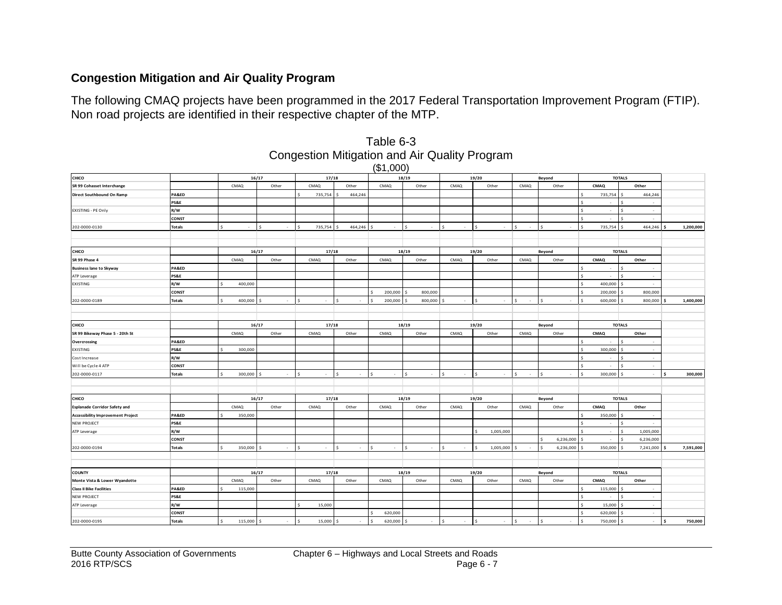# **Congestion Mitigation and Air Quality Program**

The following CMAQ projects have been programmed in the 2017 Federal Transportation Improvement Program (FTIP). Non road projects are identified in their respective chapter of the MTP.

|                                          |                 |                 |                    |                                 |              | (\$1,000)      |                                |        |                                 |              |                     |                                                |                          |     |           |
|------------------------------------------|-----------------|-----------------|--------------------|---------------------------------|--------------|----------------|--------------------------------|--------|---------------------------------|--------------|---------------------|------------------------------------------------|--------------------------|-----|-----------|
| CHICO                                    |                 |                 | 16/17              | 17/18                           |              |                | 18/19                          |        | 19/20                           |              | Beyond              |                                                | <b>TOTALS</b>            |     |           |
| SR 99 Cohasset Interchange               |                 | CMAQ            | Other              | <b>CMAQ</b>                     | Other        | CMAQ           | Other                          | CMAQ   | Other                           | CMAQ         | Other               | CMAQ                                           | Other                    |     |           |
| Direct Southbound On Ramp                | PA&ED           |                 |                    | 735,754<br>$\ddot{\phantom{1}}$ | 464,246      |                |                                |        |                                 |              |                     | 735,754<br>\$                                  | 464,246                  |     |           |
|                                          | PS&E            |                 |                    |                                 |              |                |                                |        |                                 |              |                     | $\hat{\mathbf{S}}$<br>$\overline{\phantom{a}}$ | ٠.                       |     |           |
| EXISTING - PE Only                       | R/W             |                 |                    |                                 |              |                |                                |        |                                 |              |                     | \$.<br>$\sim$                                  | $\sim$<br>ς.             |     |           |
|                                          | <b>CONST</b>    |                 |                    |                                 |              |                |                                |        |                                 |              |                     | $\ddot{\mathbf{S}}$<br>$\cdot$                 | ¢.<br>$\sim$             |     |           |
| 202-0000-0130                            | <b>Totals</b>   |                 | $\hat{\mathbf{S}}$ | 735,754<br>$\ddot{\phantom{1}}$ | 464,246      |                |                                |        |                                 |              |                     | ¢<br>735,754                                   | 464,246                  |     | 1,200,000 |
|                                          |                 |                 |                    |                                 |              |                |                                |        |                                 |              |                     |                                                |                          |     |           |
|                                          |                 |                 |                    |                                 |              |                |                                |        |                                 |              |                     |                                                |                          |     |           |
| CHICO                                    |                 |                 | 16/17              | 17/18                           |              |                | 18/19                          |        | 19/20                           |              | Beyond              |                                                | <b>TOTALS</b>            |     |           |
| SR 99 Phase 4                            |                 | CMAQ            | Other              | CMAQ                            | Other        | CMAQ           | Other                          | CMAQ   | Other                           | CMAQ         | Other               | CMAQ                                           | Other                    |     |           |
| <b>Business lane to Skyway</b>           | PA&ED           |                 |                    |                                 |              |                |                                |        |                                 |              |                     | Ś.<br>$\sim$                                   | $\sim$                   |     |           |
| ATP Leverage                             | PS&E            |                 |                    |                                 |              |                |                                |        |                                 |              |                     | $\hat{\mathbf{S}}$<br>×.                       | $\sim$                   |     |           |
| EXISTING                                 | R/W             | 400,000         |                    |                                 |              |                |                                |        |                                 |              |                     | 400,000<br>\$                                  | $\sim$                   |     |           |
|                                          | CONST           |                 |                    |                                 |              | 200,000<br>\$. | 800,000                        |        |                                 |              |                     | Ś.<br>200,000                                  | 800,000                  |     |           |
| 202-0000-0189                            | <b>Totals</b>   | 400,000 \$      | ×                  | $\hat{\mathbf{c}}$<br>$\sim$    |              | 200,000<br>\$  | 800,000                        | $\sim$ | $\hat{\mathbf{S}}$<br>$\sim$    | Ś.<br>$\sim$ | $\hat{\mathbf{S}}$  | $\ddot{\mathbf{S}}$<br>600,000                 | 800,000                  |     | 1,400,000 |
|                                          |                 |                 |                    |                                 |              |                |                                |        |                                 |              |                     |                                                |                          |     |           |
|                                          |                 |                 |                    |                                 |              |                |                                |        |                                 |              |                     |                                                |                          |     |           |
| CHICO                                    |                 |                 | 16/17              | 17/18                           |              |                | 18/19                          |        | 19/20                           |              | Beyond              |                                                | <b>TOTALS</b>            |     |           |
| SR 99 Bikeway Phase 5 - 20th St          |                 | CMAQ            | Other              | CMAQ                            | Other        | CMAQ           | Other                          | CMAQ   | Other                           | CMAQ         | Other               | CMAQ                                           | Other                    |     |           |
| Overcrossing                             | PA&ED           |                 |                    |                                 |              |                |                                |        |                                 |              |                     | $\ddot{\mathbf{S}}$<br>$\sim$                  | $\sim$                   |     |           |
| EXISTING                                 | PS&E            | 300,000         |                    |                                 |              |                |                                |        |                                 |              |                     | $\ddot{\mathbf{S}}$<br>300,000                 | $\sim$                   |     |           |
| Cost Increase                            | R/W             |                 |                    |                                 |              |                |                                |        |                                 |              |                     | \$.<br>$\overline{\phantom{a}}$                | $\sim$                   |     |           |
| Will be Cycle 4 ATP                      | CONST           |                 |                    |                                 |              |                |                                |        |                                 |              |                     | \$<br>×                                        | $\sim$                   |     |           |
| 202-0000-0117                            | <b>Totals</b>   | $300,000$ \$    | ×.                 | $\hat{\mathbf{S}}$<br>$\sim$    | $\sim$       | \$.<br>$\sim$  | \$<br>$\overline{\phantom{a}}$ | $\sim$ | $\hat{\varsigma}$               | ς.<br>$\sim$ | Š.                  | \$<br>300,000                                  | $\sim$                   |     | 300,000   |
|                                          |                 |                 |                    |                                 |              |                |                                |        |                                 |              |                     |                                                |                          |     |           |
|                                          |                 |                 |                    |                                 |              |                |                                |        |                                 |              |                     |                                                |                          |     |           |
| CHICO                                    |                 |                 | 16/17              | 17/18                           |              |                | 18/19                          |        | 19/20                           |              | Beyond              |                                                | <b>TOTALS</b>            |     |           |
| <b>Esplanade Corridor Safety and</b>     |                 | CMAQ            | Other              | CMAQ                            | Other        | CMAQ           | Other                          | CMAQ   | Other                           | CMAQ         | Other               | CMAQ                                           | Other                    |     |           |
| <b>Accessibility Improvement Project</b> | PA&ED           | 350,000         |                    |                                 |              |                |                                |        |                                 |              |                     | 350,000<br>\$.                                 | $\overline{\phantom{a}}$ |     |           |
| <b>NEW PROJECT</b>                       | PS&E            |                 |                    |                                 |              |                |                                |        |                                 |              |                     | \$.<br>$\cdot$                                 | $\sim$                   |     |           |
| ATP Leverage                             | R/W             |                 |                    |                                 |              |                |                                |        | 1,005,000                       |              |                     | \$<br>$\sim$                                   | 1,005,000                |     |           |
|                                          | <b>CONST</b>    |                 |                    |                                 |              |                |                                |        |                                 |              | 6,236,000           | ×.                                             | 6,236,000                |     |           |
| 202-0000-0194                            | <b>Totals</b>   | Š<br>350,000 \$ | $\sim$             | s.<br>$\sim$                    | ς.<br>$\sim$ | \$.<br>$\sim$  | $\hat{\mathbf{S}}$<br>×        | $\sim$ | $\hat{\mathbf{S}}$<br>1,005,000 | $\sim$       | 6,236,000<br>$\leq$ | 350,000                                        | 7,241,000                |     | 7,591,000 |
|                                          |                 |                 |                    |                                 |              |                |                                |        |                                 |              |                     |                                                |                          |     |           |
|                                          |                 |                 |                    |                                 |              |                |                                |        |                                 |              |                     |                                                |                          |     |           |
| <b>COUNTY</b>                            |                 |                 | 16/17              | 17/18                           |              |                | 18/19                          |        | 19/20                           |              | Beyond              |                                                | <b>TOTALS</b>            |     |           |
| Monte Vista & Lower Wyandotte            |                 | CMAQ            | Other              | CMAQ                            | Other        | CMAQ           | Other                          | CMAQ   | Other                           | CMAQ         | Other               | CMAQ                                           | Other                    |     |           |
| <b>Class II Bike Facilities</b>          | PA&ED           | 115,000         |                    |                                 |              |                |                                |        |                                 |              |                     | \$<br>115,000                                  | ٠                        |     |           |
| <b>NEW PROJECT</b>                       | <b>PS&amp;E</b> |                 |                    |                                 |              |                |                                |        |                                 |              |                     | \$.<br>×,                                      | $\sim$                   |     |           |
| ATP Leverage                             | R/W             |                 |                    | 15,000                          |              |                |                                |        |                                 |              |                     | \$.<br>15,000                                  | $\sim$                   |     |           |
|                                          | <b>CONST</b>    |                 |                    |                                 |              | \$<br>620,000  |                                |        |                                 |              |                     | Ś.<br>620,000                                  | $\sim$                   |     |           |
| 202-0000-0195                            | <b>Totals</b>   | 115,000<br>Ś    | <b>S</b>           | 15,000<br>$\leq$                |              | 620,000<br>\$  |                                |        | Ś                               | Ś.           | s.                  | \$.<br>750,000                                 | i,                       | \$. | 750,000   |

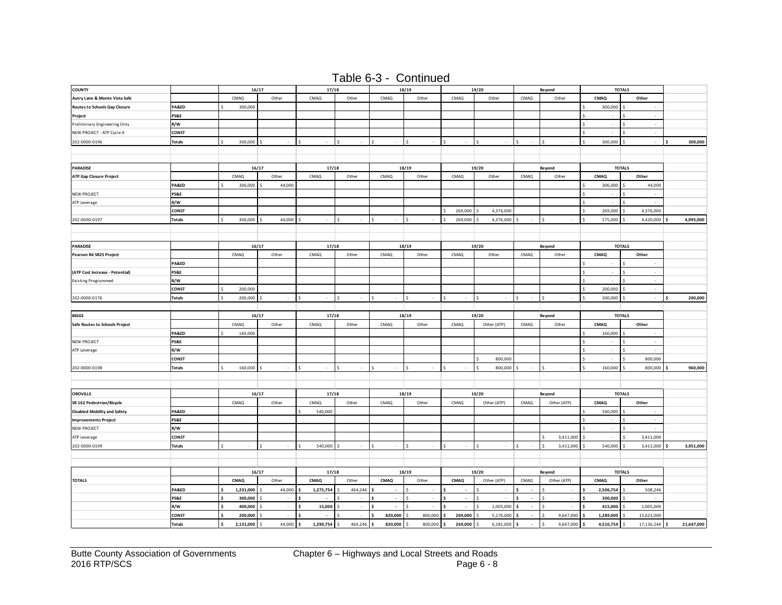| Table 6-3 - Continued |  |
|-----------------------|--|
|                       |  |

| <b>COUNTY</b>                        |                     | 16/17     |                          | 17/18       |              |              | 18/19                    |            | 19/20           |             | Beyond      |                                    | <b>TOTALS</b>                  |            |
|--------------------------------------|---------------------|-----------|--------------------------|-------------|--------------|--------------|--------------------------|------------|-----------------|-------------|-------------|------------------------------------|--------------------------------|------------|
| Autry Lane & Monte Vista Safe        |                     | CMAQ      | Other                    | CMAQ        | Other        | CMAQ         | Other                    | CMAQ       | Other           | CMAQ        | Other       | CMAQ                               | Other                          |            |
| <b>Routes to Schools Gap Closure</b> | PA&ED               | 300,000   |                          |             |              |              |                          |            |                 |             |             | 300,000 \$                         |                                |            |
| Project                              | PS&E                |           |                          |             |              |              |                          |            |                 |             |             | $\sim$                             | $\cdot$<br>S.                  |            |
| Preliminary Engineering Only         | R/W                 |           |                          |             |              |              |                          |            |                 |             |             | ÷,                                 | $\hat{\mathbf{S}}$<br>$\sim$   |            |
| NEW PROJECT - ATP Cycle 4            | CONST               |           |                          |             |              |              |                          |            |                 |             |             | ÷,                                 | Š<br>$\sim$                    |            |
| 202-0000-0196                        | <b>Totals</b>       | 300,000   |                          |             | ¢            | ¢            | Ś                        |            |                 |             |             | 300,000                            | ÷,                             | 300,000    |
|                                      |                     |           |                          |             |              |              |                          |            |                 |             |             |                                    |                                |            |
|                                      |                     |           |                          |             |              |              |                          |            |                 |             |             |                                    |                                |            |
| <b>PARADISE</b>                      |                     | 16/17     |                          | 17/18       |              |              | 18/19                    |            | 19/20           |             | Beyond      |                                    | <b>TOTALS</b>                  |            |
| ATP Gap Closure Project              |                     | CMAQ      | Other                    | CMAQ        | Other        | CMAQ         | Other                    | CMAQ       | Other           | CMAQ        | Other       | CMAQ                               | Other                          |            |
|                                      | PA&ED               | 306,000   | 44,000                   |             |              |              |                          |            |                 |             |             | 306,000                            | 44,000                         |            |
| <b>NEW PROJECT</b>                   | PS&E                |           |                          |             |              |              |                          |            |                 |             |             | $\mathsf{s}$<br>×,                 | ×.<br>Ś                        |            |
| ATP Leverage                         | R/W                 |           |                          |             |              |              |                          |            |                 |             |             | $\sim$                             | Ś<br>÷.                        |            |
|                                      | CONST               |           |                          |             |              |              |                          | 269,000    | 4,376,000       |             |             | 269,000                            | 4,376,000                      |            |
| 202-0000-0197                        | <b>Totals</b>       | 306,000   | 44,000                   |             |              |              |                          | 269,000    | 4,376,000       |             |             | 575,000                            | 4,420,000                      | 4,995,000  |
|                                      |                     |           |                          |             |              |              |                          |            |                 |             |             |                                    |                                |            |
|                                      |                     |           |                          |             |              |              |                          |            |                 |             |             |                                    |                                |            |
| <b>PARADISE</b>                      |                     | 16/17     |                          | 17/18       |              |              | 18/19                    |            | 19/20           |             | Beyond      |                                    | <b>TOTALS</b>                  |            |
| Pearson Rd SR2S Project              |                     | CMAQ      | Other                    | CMAQ        | Other        | CMAQ         | Other                    | CMAQ       | Other           | CMAQ        | Other       | CMAQ                               | Other                          |            |
|                                      | PA&ED               |           |                          |             |              |              |                          |            |                 |             |             | ÷                                  | $\hat{\mathbf{S}}$<br>$\sim$   |            |
| (ATP Cost Increase - Potential)      | PS&E                |           |                          |             |              |              |                          |            |                 |             |             | $\sim$                             | $\mathsf{s}$<br>$\sim$         |            |
| <b>Existing Programmed</b>           | R/W                 |           |                          |             |              |              |                          |            |                 |             |             | $\sim$                             | s.<br>$\sim$                   |            |
|                                      | <b>CONST</b>        | 200,000   |                          |             |              |              |                          |            |                 |             |             | 200,000                            | $\sim$<br><sub>S</sub>         |            |
| 202-0000-0176                        | <b>Totals</b>       | 200,000   | $\sim$                   | $\sim$      | Ś            |              | Ś<br>÷,                  |            | Ś<br>$\epsilon$ |             |             | 200,000 \$<br>Š.                   | $\epsilon$                     | 200,000    |
|                                      |                     |           |                          |             |              |              |                          |            |                 |             |             |                                    |                                |            |
| <b>BIGGS</b>                         |                     | 16/17     |                          | 17/18       |              |              | 18/19                    |            | 19/20           |             | Beyond      |                                    | <b>TOTALS</b>                  |            |
|                                      |                     | CMAQ      | Other                    | CMAQ        | Other        | CMAQ         | Other                    | CMAQ       | Other (ATP)     | <b>CMAQ</b> | Other       | CMAQ                               | Other                          |            |
| Safe Routes to Schools Project       | PA&ED               |           |                          |             |              |              |                          |            |                 |             |             | 160,000                            | ÷                              |            |
|                                      | <b>PS&amp;E</b>     | 160,000   |                          |             |              |              |                          |            |                 |             |             |                                    | Ś<br>$\cdot$                   |            |
| <b>NEW PROJECT</b>                   |                     |           |                          |             |              |              |                          |            |                 |             |             | $\overline{\phantom{a}}$<br>$\sim$ | Ś<br>$\cdot$                   |            |
| ATP Leverage                         | R/W<br><b>CONST</b> |           |                          |             |              |              |                          |            | Ś               |             |             | $\sim$                             | 800,000<br>$\mathbf{\hat{S}}$  |            |
|                                      |                     |           | $\sim$                   | ¢<br>$\sim$ | Š.<br>$\sim$ | Ś<br>$\sim$  | $\mathsf{s}$<br>$\sim$   | $\sim$     | 800,000<br>s.   | $\epsilon$  |             |                                    |                                |            |
| 202-0000-0198                        | <b>Totals</b>       | 160,000   |                          |             |              |              |                          |            | 800,000         |             |             | 160,000                            | 800,000                        | 960,000    |
|                                      |                     |           |                          |             |              |              |                          |            |                 |             |             |                                    |                                |            |
|                                      |                     |           |                          |             |              |              |                          |            |                 |             |             |                                    |                                |            |
| <b>OROVILLE</b>                      |                     | 16/17     |                          | 17/18       |              |              | 18/19                    |            | 19/20           |             | Beyond      |                                    | <b>TOTALS</b>                  |            |
| SR 162 Pedestrian/Bicycle            |                     | CMAQ      | Other                    | CMAQ        | Other        | CMAQ         | Other                    | CMAQ       | Other (ATP)     | CMAQ        | Other (ATP) | CMAQ                               | Other                          |            |
| <b>Disabled Mobility and Safety</b>  | PA&ED               |           |                          | 540,000     |              |              |                          |            |                 |             |             | 540,000                            | -S                             |            |
| <b>Improvements Project</b>          | PS&E                |           |                          |             |              |              |                          |            |                 |             |             | $\epsilon$<br>×                    | $\sim$<br>S                    |            |
| <b>NEW PROJECT</b>                   | R/W<br>CONST        |           |                          |             |              |              |                          |            |                 |             |             | $\epsilon$                         | .s<br>$\sim$<br>Š<br>3,411,000 |            |
| ATP Leverage                         |                     |           |                          |             |              |              |                          |            |                 |             | 3,411,000   |                                    |                                |            |
| 202-0000-0199                        | <b>Totals</b>       |           |                          | 540,000     |              |              |                          |            |                 |             | 3,411,000   | 540,000                            | 3,411,000                      | 3,951,000  |
|                                      |                     |           |                          |             |              |              |                          |            |                 |             |             |                                    |                                |            |
|                                      |                     |           |                          |             |              |              |                          |            |                 |             |             |                                    |                                |            |
|                                      |                     | 16/17     |                          | 17/18       |              |              | 18/19                    |            | 19/20           |             | Beyond      |                                    | <b>TOTALS</b>                  |            |
| <b>TOTALS</b>                        |                     | CMAQ      | Other                    | CMAQ        | Other        | CMAQ         | Other                    | CMAQ       | Other (ATP)     | CMAQ        | Other (ATP) | CMAQ                               | Other                          |            |
|                                      | PA&ED               | 1,231,000 | 44,000                   | 1,275,754   | 464,246      |              | $\epsilon$               | $\sim$     | <b>S</b>        |             |             | 2,506,754                          | 508,246                        |            |
|                                      | PS&E                | 300,000   | $\overline{\phantom{a}}$ | ÷           | ×            | Ś<br>$\cdot$ | ÷.<br>$\hat{\mathbf{S}}$ | $\epsilon$ | Ś<br>ł,         | $\sim$      | $\cdot$     | 300,000                            | ×.                             |            |
|                                      | R/W                 | 400,000   | $\sim$                   | 15,000      | $\sim$       | Ś<br>$\sim$  | ×.                       | $\sim$     | Ś<br>1,005,000  | $\sim$      | ÷.          | 415,000                            | 1,005,000                      |            |
|                                      | CONST               | 200,000   | $\sim$                   | $\sim$      | $\sim$       | 820,000<br>Ś | 800,000                  | 269,000    | 5,176,000       | $\sim$      | 9,647,000   | 1,289,000                          | 15,623,000                     |            |
|                                      | <b>Totals</b>       | 2,131,000 | 44,000                   | 1,290,754   | 464,246      | 820,000      | 800,000                  | 269,000    | 6,181,000       | $\sim$      | 9,647,000   | 4,510,754                          | 17,136,246                     | 21,647,000 |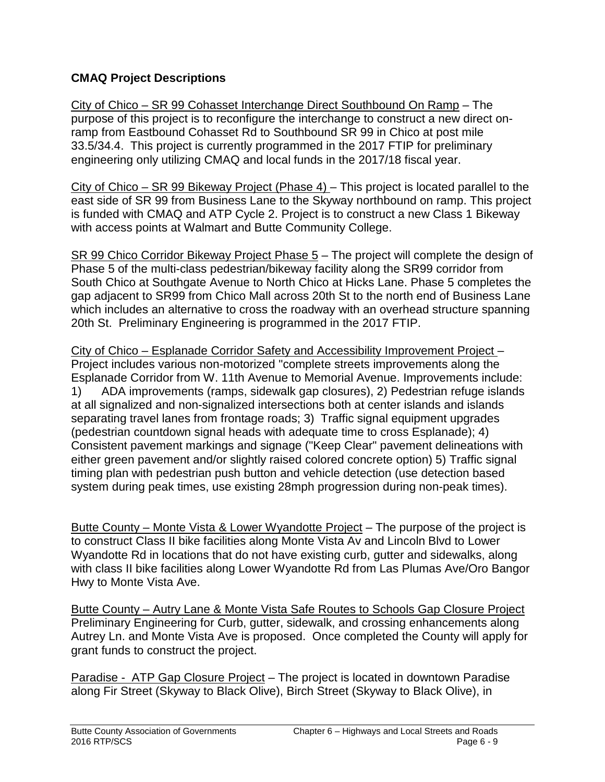# **CMAQ Project Descriptions**

City of Chico – SR 99 Cohasset Interchange Direct Southbound On Ramp – The purpose of this project is to reconfigure the interchange to construct a new direct onramp from Eastbound Cohasset Rd to Southbound SR 99 in Chico at post mile 33.5/34.4. This project is currently programmed in the 2017 FTIP for preliminary engineering only utilizing CMAQ and local funds in the 2017/18 fiscal year.

City of Chico – SR 99 Bikeway Project (Phase 4) – This project is located parallel to the east side of SR 99 from Business Lane to the Skyway northbound on ramp. This project is funded with CMAQ and ATP Cycle 2. Project is to construct a new Class 1 Bikeway with access points at Walmart and Butte Community College.

SR 99 Chico Corridor Bikeway Project Phase 5 – The project will complete the design of Phase 5 of the multi-class pedestrian/bikeway facility along the SR99 corridor from South Chico at Southgate Avenue to North Chico at Hicks Lane. Phase 5 completes the gap adjacent to SR99 from Chico Mall across 20th St to the north end of Business Lane which includes an alternative to cross the roadway with an overhead structure spanning 20th St. Preliminary Engineering is programmed in the 2017 FTIP.

City of Chico – Esplanade Corridor Safety and Accessibility Improvement Project – Project includes various non-motorized "complete streets improvements along the Esplanade Corridor from W. 11th Avenue to Memorial Avenue. Improvements include: 1) ADA improvements (ramps, sidewalk gap closures), 2) Pedestrian refuge islands at all signalized and non-signalized intersections both at center islands and islands separating travel lanes from frontage roads; 3) Traffic signal equipment upgrades (pedestrian countdown signal heads with adequate time to cross Esplanade); 4) Consistent pavement markings and signage ("Keep Clear" pavement delineations with either green pavement and/or slightly raised colored concrete option) 5) Traffic signal timing plan with pedestrian push button and vehicle detection (use detection based system during peak times, use existing 28mph progression during non-peak times).

Butte County – Monte Vista & Lower Wyandotte Project – The purpose of the project is to construct Class II bike facilities along Monte Vista Av and Lincoln Blvd to Lower Wyandotte Rd in locations that do not have existing curb, gutter and sidewalks, along with class II bike facilities along Lower Wyandotte Rd from Las Plumas Ave/Oro Bangor Hwy to Monte Vista Ave.

Butte County – Autry Lane & Monte Vista Safe Routes to Schools Gap Closure Project Preliminary Engineering for Curb, gutter, sidewalk, and crossing enhancements along Autrey Ln. and Monte Vista Ave is proposed. Once completed the County will apply for grant funds to construct the project.

Paradise - ATP Gap Closure Project – The project is located in downtown Paradise along Fir Street (Skyway to Black Olive), Birch Street (Skyway to Black Olive), in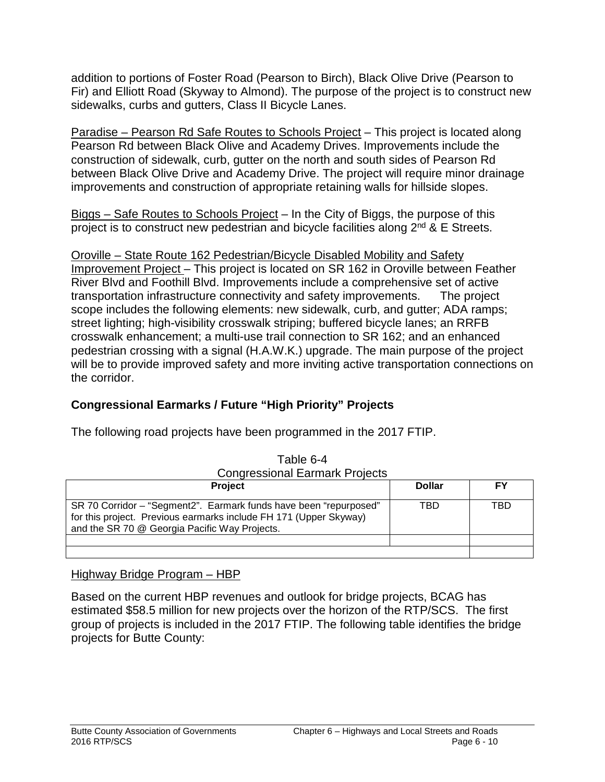addition to portions of Foster Road (Pearson to Birch), Black Olive Drive (Pearson to Fir) and Elliott Road (Skyway to Almond). The purpose of the project is to construct new sidewalks, curbs and gutters, Class II Bicycle Lanes.

Paradise – Pearson Rd Safe Routes to Schools Project – This project is located along Pearson Rd between Black Olive and Academy Drives. Improvements include the construction of sidewalk, curb, gutter on the north and south sides of Pearson Rd between Black Olive Drive and Academy Drive. The project will require minor drainage improvements and construction of appropriate retaining walls for hillside slopes.

Biggs – Safe Routes to Schools Project – In the City of Biggs, the purpose of this project is to construct new pedestrian and bicycle facilities along  $2^{nd}$  & E Streets.

Oroville – State Route 162 Pedestrian/Bicycle Disabled Mobility and Safety Improvement Project – This project is located on SR 162 in Oroville between Feather River Blvd and Foothill Blvd. Improvements include a comprehensive set of active transportation infrastructure connectivity and safety improvements. The project scope includes the following elements: new sidewalk, curb, and gutter; ADA ramps; street lighting; high-visibility crosswalk striping; buffered bicycle lanes; an RRFB crosswalk enhancement; a multi-use trail connection to SR 162; and an enhanced pedestrian crossing with a signal (H.A.W.K.) upgrade. The main purpose of the project will be to provide improved safety and more inviting active transportation connections on

# **Congressional Earmarks / Future "High Priority" Projects**

| Table 6-4                                                                                                                                                                               |               |     |  |  |  |  |
|-----------------------------------------------------------------------------------------------------------------------------------------------------------------------------------------|---------------|-----|--|--|--|--|
| <b>Congressional Earmark Projects</b>                                                                                                                                                   |               |     |  |  |  |  |
| <b>Project</b>                                                                                                                                                                          | <b>Dollar</b> | FΥ  |  |  |  |  |
| SR 70 Corridor - "Segment2". Earmark funds have been "repurposed"<br>for this project. Previous earmarks include FH 171 (Upper Skyway)<br>and the SR 70 @ Georgia Pacific Way Projects. | TBD           | TBD |  |  |  |  |
|                                                                                                                                                                                         |               |     |  |  |  |  |
|                                                                                                                                                                                         |               |     |  |  |  |  |

The following road projects have been programmed in the 2017 FTIP.

#### Highway Bridge Program – HBP

the corridor.

Based on the current HBP revenues and outlook for bridge projects, BCAG has estimated \$58.5 million for new projects over the horizon of the RTP/SCS. The first group of projects is included in the 2017 FTIP. The following table identifies the bridge projects for Butte County: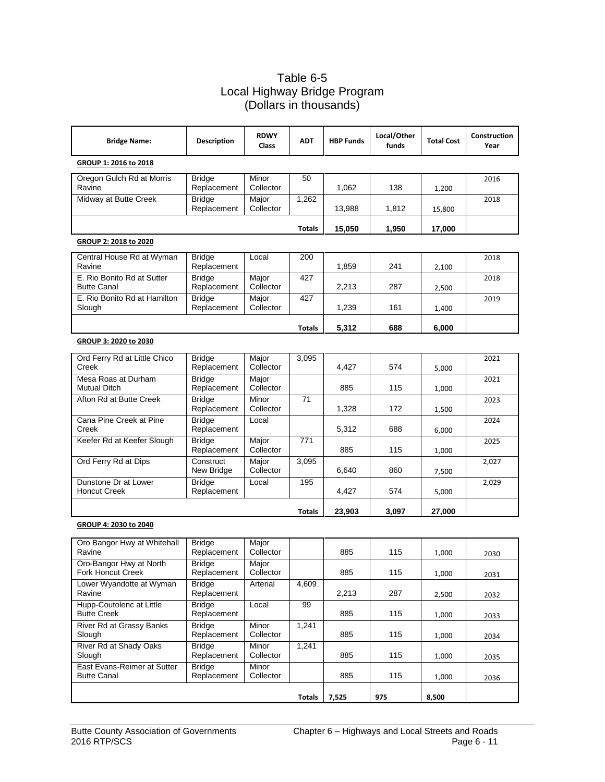#### Table 6-5 Local Highway Bridge Program (Dollars in thousands)

| <b>Bridge Name:</b>                                 | <b>Description</b>           | <b>RDWY</b><br>Class | <b>ADT</b>    | <b>HBP Funds</b> | Local/Other<br>funds | <b>Total Cost</b> | Construction<br>Year |
|-----------------------------------------------------|------------------------------|----------------------|---------------|------------------|----------------------|-------------------|----------------------|
| GROUP 1: 2016 to 2018                               |                              |                      |               |                  |                      |                   |                      |
| Oregon Gulch Rd at Morris<br>Ravine                 | <b>Bridge</b><br>Replacement | Minor<br>Collector   | 50            | 1,062            | 138                  | 1,200             | 2016                 |
| Midway at Butte Creek                               | Bridge<br>Replacement        | Major<br>Collector   | 1,262         | 13,988           | 1,812                | 15,800            | 2018                 |
|                                                     |                              |                      | Totals        | 15,050           | 1,950                | 17,000            |                      |
| GROUP 2: 2018 to 2020                               |                              |                      |               |                  |                      |                   |                      |
| Central House Rd at Wyman<br>Ravine                 | <b>Bridge</b><br>Replacement | Local                | 200           | 1,859            | 241                  | 2,100             | 2018                 |
| E. Rio Bonito Rd at Sutter<br><b>Butte Canal</b>    | <b>Bridge</b><br>Replacement | Major<br>Collector   | 427           | 2,213            | 287                  | 2,500             | 2018                 |
| E. Rio Bonito Rd at Hamilton<br>Slough              | <b>Bridge</b><br>Replacement | Major<br>Collector   | 427           | 1,239            | 161                  | 1,400             | 2019                 |
|                                                     |                              |                      | <b>Totals</b> | 5,312            | 688                  | 6,000             |                      |
| GROUP 3: 2020 to 2030                               |                              |                      |               |                  |                      |                   |                      |
| Ord Ferry Rd at Little Chico<br>Creek               | <b>Bridge</b><br>Replacement | Major<br>Collector   | 3,095         | 4,427            | 574                  | 5,000             | 2021                 |
| Mesa Roas at Durham<br><b>Mutual Ditch</b>          | Bridge<br>Replacement        | Major<br>Collector   |               | 885              | 115                  | 1,000             | 2021                 |
| Afton Rd at Butte Creek                             | <b>Bridge</b><br>Replacement | Minor<br>Collector   | 71            | 1,328            | 172                  | 1,500             | 2023                 |
| Cana Pine Creek at Pine<br>Creek                    | Bridge<br>Replacement        | Local                |               | 5,312            | 688                  | 6,000             | 2024                 |
| Keefer Rd at Keefer Slough                          | <b>Bridge</b><br>Replacement | Major<br>Collector   | 771           | 885              | 115                  | 1,000             | 2025                 |
| Ord Ferry Rd at Dips                                | Construct<br>New Bridge      | Major<br>Collector   | 3,095         | 6,640            | 860                  | 7,500             | 2,027                |
| Dunstone Dr at Lower<br><b>Honcut Creek</b>         | <b>Bridge</b><br>Replacement | Local                | 195           | 4,427            | 574                  | 5,000             | 2,029                |
|                                                     |                              |                      | <b>Totals</b> | 23,903           | 3,097                | 27,000            |                      |
| GROUP 4: 2030 to 2040                               |                              |                      |               |                  |                      |                   |                      |
| Oro Bangor Hwy at Whitehall<br>Ravine               | Bridge<br>Replacement        | Major<br>Collector   |               | 885              | 115                  | 1,000             | 2030                 |
| Oro-Bangor Hwy at North<br><b>Fork Honcut Creek</b> | <b>Bridge</b><br>Replacement | Major<br>Collector   |               | 885              | 115                  | 1,000             | 2031                 |
| Lower Wyandotte at Wyman<br>Ravine                  | <b>Bridge</b><br>Replacement | Arterial             | 4,609         | 2,213            | 287                  | 2,500             | 2032                 |
| Hupp-Coutolenc at Little<br><b>Butte Creek</b>      | <b>Bridge</b><br>Replacement | Local                | 99            | 885              | 115                  | 1,000             | 2033                 |
| River Rd at Grassy Banks<br>Slough                  | <b>Bridge</b><br>Replacement | Minor<br>Collector   | 1,241         | 885              | 115                  | 1,000             | 2034                 |
| River Rd at Shady Oaks<br>Slough                    | <b>Bridge</b><br>Replacement | Minor<br>Collector   | 1,241         | 885              | 115                  | 1,000             | 2035                 |
| East Evans-Reimer at Sutter<br><b>Butte Canal</b>   | <b>Bridge</b><br>Replacement | Minor<br>Collector   |               | 885              | 115                  | 1,000             | 2036                 |
|                                                     |                              |                      | <b>Totals</b> | 7,525            | 975                  | 8,500             |                      |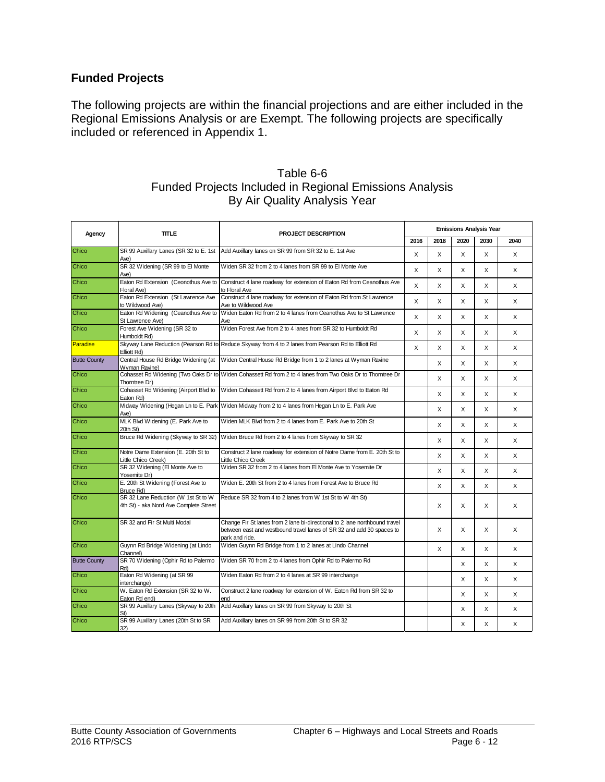#### **Funded Projects**

The following projects are within the financial projections and are either included in the Regional Emissions Analysis or are Exempt. The following projects are specifically included or referenced in Appendix 1.

| Agency              | <b>TITLE</b><br><b>PROJECT DESCRIPTION</b>                                    | <b>Emissions Analysis Year</b>                                                                                                                                        |      |      |              |      |              |  |  |
|---------------------|-------------------------------------------------------------------------------|-----------------------------------------------------------------------------------------------------------------------------------------------------------------------|------|------|--------------|------|--------------|--|--|
|                     |                                                                               |                                                                                                                                                                       | 2016 | 2018 | 2020         | 2030 | 2040         |  |  |
| Chico               | Ave)                                                                          | SR 99 Auxillary Lanes (SR 32 to E. 1st Add Auxillary lanes on SR 99 from SR 32 to E. 1st Ave                                                                          | X    | X    | X            | X    | X            |  |  |
| Chico               | SR 32 Widening (SR 99 to El Monte<br>Ave)                                     | Widen SR 32 from 2 to 4 lanes from SR 99 to El Monte Ave                                                                                                              | X    | X    | X            | X    | X            |  |  |
| Chico               | Eaton Rd Extension (Ceonothus Ave to<br>Floral Ave)                           | Construct 4 lane roadway for extension of Eaton Rd from Ceanothus Ave<br>to Floral Ave                                                                                | X    | X    | X            | X    | X            |  |  |
| Chico               | Eaton Rd Extension (St Lawrence Ave<br>to Wildwood Ave)                       | Construct 4 lane roadway for extension of Eaton Rd from St Lawrence<br>Ave to Wildwood Ave                                                                            | X    | X    | X            | X    | X            |  |  |
| Chico               | Eaton Rd Widening (Ceanothus Ave to<br>St Lawrence Ave)                       | Widen Eaton Rd from 2 to 4 lanes from Ceanothus Ave to St Lawrence<br>Ave                                                                                             | X    | X    | X            | X    | X            |  |  |
| Chico               | Forest Ave Widening (SR 32 to<br>Humboldt Rd)                                 | Widen Forest Ave from 2 to 4 lanes from SR 32 to Humboldt Rd                                                                                                          | X    | X    | X            | X    | X            |  |  |
| Paradise            | Elliott Rd)                                                                   | Skyway Lane Reduction (Pearson Rd to Reduce Skyway from 4 to 2 lanes from Pearson Rd to Elliott Rd                                                                    | X    | X    | X            | X    | X            |  |  |
| <b>Butte County</b> | Wyman Ravine)                                                                 | Central House Rd Bridge Widening (at   Widen Central House Rd Bridge from 1 to 2 lanes at Wyman Ravine                                                                |      | X    | X            | X    | X            |  |  |
| Chico               | Thorntree Dr)                                                                 | Cohasset Rd Widening (Two Oaks Dr to Widen Cohassett Rd from 2 to 4 lanes from Two Oaks Dr to Thorntree Dr                                                            |      | X    | X            | X    | X            |  |  |
| Chico               | Cohasset Rd Widening (Airport Blvd to<br>Eaton Rd)                            | Widen Cohassett Rd from 2 to 4 lanes from Airport Blvd to Eaton Rd                                                                                                    |      | X    | X            | X    | X            |  |  |
| Chico               | Ave)                                                                          | Midway Widening (Hegan Ln to E. Park Widen Midway from 2 to 4 lanes from Hegan Ln to E. Park Ave                                                                      |      | X    | X            | X    | X            |  |  |
| Chico               | MLK Blvd Widening (E. Park Ave to<br>20th St)                                 | Widen MLK Blvd from 2 to 4 lanes from E. Park Ave to 20th St                                                                                                          |      | X    | X            | X    | X            |  |  |
| Chico               | Bruce Rd Widening (Skyway to SR 32)                                           | Widen Bruce Rd from 2 to 4 lanes from Skyway to SR 32                                                                                                                 |      | X    | X            | X    | X            |  |  |
| Chico               | Notre Dame Extension (E. 20th St to<br>Little Chico Creek)                    | Construct 2 lane roadway for extension of Notre Dame from E. 20th St to<br>Little Chico Creek                                                                         |      | X    | X            | X    | X            |  |  |
| Chico               | SR 32 Widening (El Monte Ave to<br>Yosemite Dr)                               | Widen SR 32 from 2 to 4 lanes from El Monte Ave to Yosemite Dr                                                                                                        |      | X    | X            | X    | X            |  |  |
| Chico               | E. 20th St Widening (Forest Ave to<br>Bruce Rd)                               | Widen E. 20th St from 2 to 4 lanes from Forest Ave to Bruce Rd                                                                                                        |      | X    | X            | X    | X            |  |  |
| Chico               | SR 32 Lane Reduction (W 1st St to W<br>4th St) - aka Nord Ave Complete Street | Reduce SR 32 from 4 to 2 lanes from W 1st St to W 4th St)                                                                                                             |      | X    | $\mathsf{x}$ | X    | $\mathsf{x}$ |  |  |
| Chico               | SR 32 and Fir St Multi Modal                                                  | Change Fir St lanes from 2 lane bi-directional to 2 lane northbound travel<br>between east and westbound travel lanes of SR 32 and add 30 spaces to<br>park and ride. |      | X    | X            | X    | X            |  |  |
| Chico               | Guynn Rd Bridge Widening (at Lindo<br>Channel)                                | Widen Guynn Rd Bridge from 1 to 2 lanes at Lindo Channel                                                                                                              |      | X    | X            | X    | X            |  |  |
| <b>Butte County</b> | SR 70 Widening (Ophir Rd to Palermo<br>Rd)                                    | Widen SR 70 from 2 to 4 lanes from Ophir Rd to Palermo Rd                                                                                                             |      |      | X            | X    | X            |  |  |
| Chico               | Eaton Rd Widening (at SR 99<br>interchange)                                   | Widen Eaton Rd from 2 to 4 lanes at SR 99 interchange                                                                                                                 |      |      | X            | X    | X            |  |  |
| Chico               | W. Eaton Rd Extension (SR 32 to W.<br>Eaton Rd end)                           | Construct 2 lane roadway for extension of W. Eaton Rd from SR 32 to<br>end                                                                                            |      |      | X            | X    | X            |  |  |
| Chico               | SR 99 Auxillary Lanes (Skyway to 20th                                         | Add Auxillary lanes on SR 99 from Skyway to 20th St                                                                                                                   |      |      | X            | X    | X            |  |  |
| Chico               | SR 99 Auxillary Lanes (20th St to SR<br>32)                                   | Add Auxillary lanes on SR 99 from 20th St to SR 32                                                                                                                    |      |      | X            | X    | X            |  |  |

#### Table 6-6 Funded Projects Included in Regional Emissions Analysis By Air Quality Analysis Year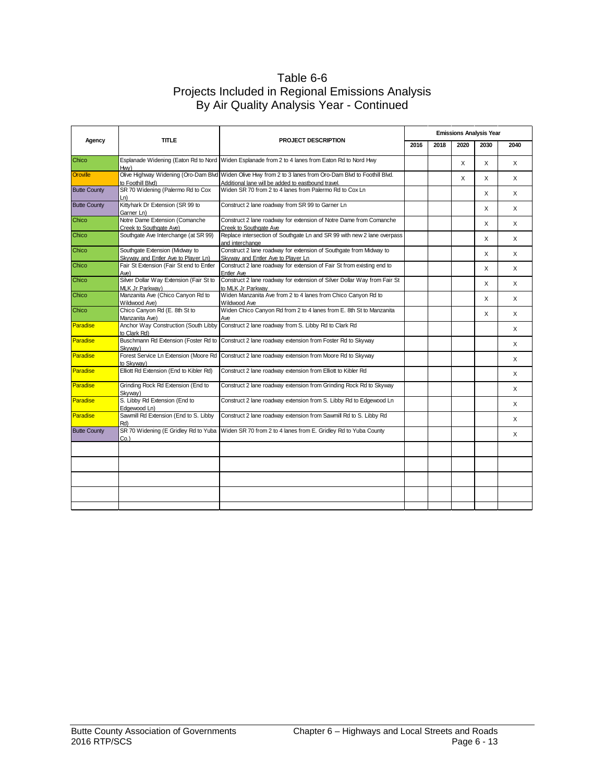#### Table 6-6 Projects Included in Regional Emissions Analysis By Air Quality Analysis Year - Continued

|                     |                                                                       |                                                                                                                                                                  | <b>Emissions Analysis Year</b> |      |      |      |      |  |  |  |
|---------------------|-----------------------------------------------------------------------|------------------------------------------------------------------------------------------------------------------------------------------------------------------|--------------------------------|------|------|------|------|--|--|--|
| Agency              | <b>TITLE</b>                                                          | <b>PROJECT DESCRIPTION</b>                                                                                                                                       | 2016                           | 2018 | 2020 | 2030 | 2040 |  |  |  |
| Chico               | Hw)                                                                   | Esplanade Widening (Eaton Rd to Nord Widen Esplanade from 2 to 4 lanes from Eaton Rd to Nord Hwy                                                                 |                                |      | X    | X    | X    |  |  |  |
| Oroville            | to Foothill Blvd)                                                     | Olive Highway Widening (Oro-Dam Blvd Widen Olive Hwy from 2 to 3 lanes from Oro-Dam Blvd to Foothill Blvd.<br>Additional lane will be added to eastbound travel. |                                |      | X    | X    | X    |  |  |  |
| <b>Butte County</b> | SR 70 Widening (Palermo Rd to Cox<br>Ln)                              | Widen SR 70 from 2 to 4 lanes from Palermo Rd to Cox Ln                                                                                                          |                                |      |      | X    | X    |  |  |  |
| <b>Butte County</b> | Kittyhark Dr Extension (SR 99 to<br>Garner Ln)                        | Construct 2 lane roadway from SR 99 to Garner Ln                                                                                                                 |                                |      |      | X    | X    |  |  |  |
| Chico               | Notre Dame Extension (Comanche<br>Creek to Southgate Ave)             | Construct 2 lane roadway for extension of Notre Dame from Comanche<br>Creek to Southgate Ave                                                                     |                                |      |      | X    | X    |  |  |  |
| Chico               | Southgate Ave Interchange (at SR 99)                                  | Replace intersection of Southgate Ln and SR 99 with new 2 lane overpass<br>and interchange                                                                       |                                |      |      | X    | X    |  |  |  |
| Chico               | Southgate Extension (Midway to<br>Skyway and Entler Ave to Player Ln) | Construct 2 lane roadway for extension of Southgate from Midway to<br>Skyway and Entler Ave to Player Ln                                                         |                                |      |      | X    | X    |  |  |  |
| Chico               | Fair St Extension (Fair St end to Entler<br>Ave)                      | Construct 2 lane roadway for extension of Fair St from existing end to<br><b>Entler Ave</b>                                                                      |                                |      |      | X    | X    |  |  |  |
| Chico               | Silver Dollar Way Extension (Fair St to<br>MLK Jr Parkway)            | Construct 2 lane roadway for extension of Silver Dollar Way from Fair St<br>to MLK Jr Parkway                                                                    |                                |      |      | X    | X    |  |  |  |
| Chico               | Manzanita Ave (Chico Canyon Rd to<br>Wildwood Ave)                    | Widen Manzanita Ave from 2 to 4 lanes from Chico Canyon Rd to<br>Wildwood Ave                                                                                    |                                |      |      | X    | X    |  |  |  |
| Chico               | Chico Canyon Rd (E. 8th St to<br>Manzanita Ave)                       | Widen Chico Canyon Rd from 2 to 4 lanes from E. 8th St to Manzanita<br>Ave                                                                                       |                                |      |      | X    | X    |  |  |  |
| Paradise            | to Clark Rd)                                                          | Anchor Way Construction (South Libby Construct 2 lane roadway from S. Libby Rd to Clark Rd                                                                       |                                |      |      |      | X    |  |  |  |
| Paradise            | Skvwav)                                                               | Buschmann Rd Extension (Foster Rd to Construct 2 lane roadway extension from Foster Rd to Skyway                                                                 |                                |      |      |      | X    |  |  |  |
| Paradise            | to Skyway)                                                            | Forest Service Ln Extension (Moore Rd Construct 2 lane roadway extension from Moore Rd to Skyway                                                                 |                                |      |      |      | X    |  |  |  |
| <b>Paradise</b>     | Elliott Rd Extension (End to Kibler Rd)                               | Construct 2 lane roadway extension from Elliott to Kibler Rd                                                                                                     |                                |      |      |      | X    |  |  |  |
| Paradise            | Grinding Rock Rd Extension (End to<br>Skvwav)                         | Construct 2 lane roadway extension from Grinding Rock Rd to Skyway                                                                                               |                                |      |      |      | X    |  |  |  |
| <b>Paradise</b>     | S. Libby Rd Extension (End to<br>Edgewood Ln)                         | Construct 2 lane roadway extension from S. Libby Rd to Edgewood Ln                                                                                               |                                |      |      |      | X    |  |  |  |
| <b>Paradise</b>     | Sawmill Rd Extension (End to S. Libby<br>Rd)                          | Construct 2 lane roadway extension from Sawmill Rd to S. Libby Rd                                                                                                |                                |      |      |      | X    |  |  |  |
| <b>Butte County</b> | Co.                                                                   | SR 70 Widening (E Gridley Rd to Yuba Widen SR 70 from 2 to 4 lanes from E. Gridley Rd to Yuba County                                                             |                                |      |      |      | X    |  |  |  |
|                     |                                                                       |                                                                                                                                                                  |                                |      |      |      |      |  |  |  |
|                     |                                                                       |                                                                                                                                                                  |                                |      |      |      |      |  |  |  |
|                     |                                                                       |                                                                                                                                                                  |                                |      |      |      |      |  |  |  |
|                     |                                                                       |                                                                                                                                                                  |                                |      |      |      |      |  |  |  |
|                     |                                                                       |                                                                                                                                                                  |                                |      |      |      |      |  |  |  |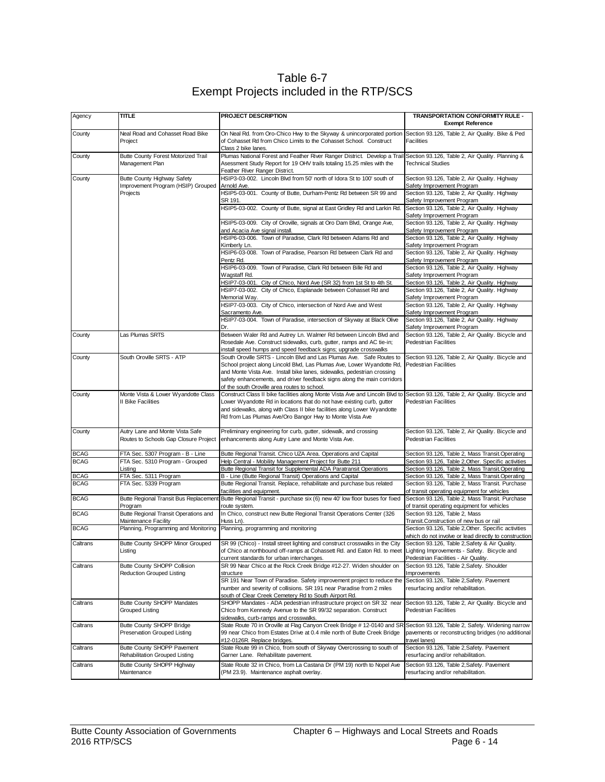| Table 6-7                               |
|-----------------------------------------|
| Exempt Projects included in the RTP/SCS |

| Agency      | <b>TITLE</b>                                                             | PROJECT DESCRIPTION                                                                                                                                                                                                                                                                                                                                                       | TRANSPORTATION CONFORMITY RULE -<br><b>Exempt Reference</b>                                                             |
|-------------|--------------------------------------------------------------------------|---------------------------------------------------------------------------------------------------------------------------------------------------------------------------------------------------------------------------------------------------------------------------------------------------------------------------------------------------------------------------|-------------------------------------------------------------------------------------------------------------------------|
| County      | Neal Road and Cohasset Road Bike<br>Project                              | On Neal Rd. from Oro-Chico Hwy to the Skyway & unincorporated portion<br>of Cohasset Rd from Chico Limits to the Cohasset School. Construct<br>Class 2 bike lanes.                                                                                                                                                                                                        | Section 93.126, Table 2, Air Quality. Bike & Ped<br>Facilities                                                          |
| County      | Butte County Forest Motorized Trail<br>Management Plan                   | Plumas National Forest and Feather River Ranger District. Develop a Trail Section 93.126, Table 2, Air Quality. Planning &<br>Asessment Study Report for 19 OHV trails totaling 15.25 miles with the<br>Feather River Ranger District.                                                                                                                                    | <b>Technical Studies</b>                                                                                                |
| County      | Butte County Highway Safety<br>Improvement Program (HSIP) Grouped        | HSIP3-03-002. Lincoln Blvd from 50' north of Idora St to 100' south of<br>Arnold Ave.                                                                                                                                                                                                                                                                                     | Section 93.126, Table 2, Air Quality. Highway<br>Safety Improvement Program                                             |
|             | Projects                                                                 | HSIP5-03-001. County of Butte, Durham-Pentz Rd between SR 99 and<br>SR 191.                                                                                                                                                                                                                                                                                               | Section 93.126, Table 2, Air Quality. Highway<br>Safety Improvement Program                                             |
|             |                                                                          | HSIP5-03-002. County of Butte, signal at East Gridley Rd and Larkin Rd.                                                                                                                                                                                                                                                                                                   | Section 93.126, Table 2, Air Quality. Highway<br>Safety Improvement Program                                             |
|             |                                                                          | HSIP5-03-009. City of Oroville, signals at Oro Dam Blvd, Orange Ave,<br>and Acacia Ave signal install.                                                                                                                                                                                                                                                                    | Section 93.126, Table 2, Air Quality. Highway<br>Safety Improvement Program                                             |
|             |                                                                          | HSIP6-03-006. Town of Paradise, Clark Rd between Adams Rd and<br>Kimberly Ln.                                                                                                                                                                                                                                                                                             | Section 93.126, Table 2, Air Quality. Highway<br>Safety Improvement Program                                             |
|             |                                                                          | HSIP6-03-008. Town of Paradise, Pearson Rd between Clark Rd and                                                                                                                                                                                                                                                                                                           | Section 93.126, Table 2, Air Quality. Highway                                                                           |
|             |                                                                          | Pentz Rd.<br>HSIP6-03-009. Town of Paradise, Clark Rd between Bille Rd and<br>Wagstaff Rd.                                                                                                                                                                                                                                                                                | Safety Improvement Program<br>Section 93.126, Table 2, Air Quality. Highway<br>Safety Improvement Program               |
|             |                                                                          | HSIP7-03-001. City of Chico, Nord Ave (SR 32) from 1st St to 4th St.<br>HSIP7-03-002. City of Chico, Esplanade between Cohasset Rd and                                                                                                                                                                                                                                    | Section 93.126, Table 2, Air Quality. Highway<br>Section 93.126, Table 2, Air Quality. Highway                          |
|             |                                                                          | Memorial Way.<br>HSIP7-03-003. City of Chico, intersection of Nord Ave and West<br>Sacramento Ave.                                                                                                                                                                                                                                                                        | Safety Improvement Program<br>Section 93.126, Table 2, Air Quality. Highway<br>Safety Improvement Program               |
|             |                                                                          | HSIP7-03-004. Town of Paradise, intersection of Skyway at Black Olive<br>Dr.                                                                                                                                                                                                                                                                                              | Section 93.126, Table 2, Air Quality. Highway<br>Safety Improvement Program                                             |
| County      | Las Plumas SRTS                                                          | Between Waler Rd and Autrey Ln. Walmer Rd between Lincoln Blvd and<br>Rosedale Ave. Construct sidewalks, curb, gutter, ramps and AC tie-in;                                                                                                                                                                                                                               | Section 93.126, Table 2, Air Quality. Bicycle and<br><b>Pedestrian Facilities</b>                                       |
| County      | South Oroville SRTS - ATP                                                | install speed humps and speed feedback signs; upgrade crosswalks<br>South Oroville SRTS - Lincoln Blvd and Las Plumas Ave. Safe Routes to<br>School project along Lincold Blvd, Las Plumas Ave, Lower Wyandotte Rd,<br>and Monte Vista Ave. Install bike lanes, sidewalks, pedestrian crossing<br>safety enhancements, and driver feedback signs along the main corridors | Section 93.126, Table 2, Air Quality. Bicycle and<br><b>Pedestrian Facilities</b>                                       |
| County      | Monte Vista & Lower Wyandotte Class                                      | of the south Oroville area routes to school.<br>Construct Class II bike facilities along Monte Vista Ave and Lincoln Blvd to                                                                                                                                                                                                                                              | Section 93.126, Table 2, Air Quality. Bicycle and                                                                       |
|             | <b>II Bike Facilities</b>                                                | Lower Wyandotte Rd in locations that do not have existing curb, gutter<br>and sidewalks, along with Class II bike facilities along Lower Wyandotte<br>Rd from Las Plumas Ave/Oro Bangor Hwy to Monte Vista Ave                                                                                                                                                            | <b>Pedestrian Facilities</b>                                                                                            |
| County      | Autry Lane and Monte Vista Safe<br>Routes to Schools Gap Closure Project | Preliminary engineering for curb, gutter, sidewalk, and crossing<br>enhancements along Autry Lane and Monte Vista Ave.                                                                                                                                                                                                                                                    | Section 93.126, Table 2, Air Quality. Bicycle and<br><b>Pedestrian Facilities</b>                                       |
| <b>BCAG</b> | FTA Sec. 5307 Program - B - Line                                         | Butte Regional Transit. Chico UZA Area. Operations and Capital                                                                                                                                                                                                                                                                                                            | Section 93.126, Table 2, Mass Transit.Operating                                                                         |
| <b>BCAG</b> | FTA Sec. 5310 Program - Grouped<br>Listing                               | Help Central - Mobility Management Project for Butte 211<br>Butte Regional Transit for Supplemental ADA Paratransit Operations                                                                                                                                                                                                                                            | Section 93.126, Table 2, Other. Specific activities<br>Section 93.126, Table 2, Mass Transit.Operating                  |
| <b>BCAG</b> | FTA Sec. 5311 Program                                                    | B - Line (Butte Regional Transit) Operations and Capital                                                                                                                                                                                                                                                                                                                  | Section 93.126, Table 2, Mass Transit.Operating                                                                         |
| <b>BCAG</b> | FTA Sec. 5339 Program                                                    | Butte Regional Transit. Replace, rehabilitate and purchase bus related                                                                                                                                                                                                                                                                                                    | Section 93.126, Table 2, Mass Transit. Purchase                                                                         |
| <b>BCAG</b> |                                                                          | facilities and equipment.                                                                                                                                                                                                                                                                                                                                                 | of transit operating equipment for vehicles<br>Section 93.126, Table 2, Mass Transit. Purchase                          |
|             | Butte Regional Transit Bus Replacement<br>Program                        | Butte Regional Transit - purchase six (6) new 40' low floor buses for fixed<br>route system.                                                                                                                                                                                                                                                                              | of transit operating equipment for vehicles                                                                             |
| <b>BCAG</b> | Butte Regional Transit Operations and                                    | In Chico, construct new Butte Regional Transit Operations Center (326                                                                                                                                                                                                                                                                                                     | Section 93.126, Table 2, Mass                                                                                           |
| <b>BCAG</b> | Maintenance Facility<br>Planning, Programming and Monitoring             | Huss Ln).<br>Planning, programming and monitoring                                                                                                                                                                                                                                                                                                                         | Transit.Construction of new bus or rail<br>Section 93.126, Table 2, Other. Specific activities                          |
|             |                                                                          |                                                                                                                                                                                                                                                                                                                                                                           | which do not involve or lead directly to construction                                                                   |
| Caltrans    | Butte County SHOPP Minor Grouped<br>isting.                              | SR 99 (Chico) - Install street lighting and construct crosswalks in the City<br>of Chico at northbound off-ramps at Cohassett Rd. and Eaton Rd. to meet  Lighting Improvements - Safety. Bicycle and<br>current standards for urban interchanges.                                                                                                                         | Section 93.126, Table 2, Safety & Air Quality.<br>Pedestrian Facilities - Air Quality.                                  |
| Caltrans    | Butte County SHOPP Collision<br><b>Reduction Grouped Listing</b>         | SR 99 Near Chico at the Rock Creek Bridge #12-27. Widen shoulder on<br>structure                                                                                                                                                                                                                                                                                          | Section 93.126, Table 2, Safety. Shoulder<br>Improvements                                                               |
|             |                                                                          | SR 191 Near Town of Paradise. Safety improvement project to reduce the<br>number and severity of collisions. SR 191 near Paradise from 2 miles<br>south of Clear Creek Cemetery Rd to South Airport Rd.                                                                                                                                                                   | Section 93.126, Table 2, Safety. Pavement<br>resurfacing and/or rehabilitation.                                         |
| Caltrans    | <b>Butte County SHOPP Mandates</b><br>Grouped Listing                    | SHOPP Mandates - ADA pedestrian infrastructure project on SR 32 near<br>Chico from Kennedy Avenue to the SR 99/32 separation. Construct<br>sidewalks, curb-ramps and crosswalks.                                                                                                                                                                                          | Section 93.126, Table 2, Air Quality. Bicycle and<br>Pedestrian Facilities                                              |
| Caltrans    | Butte County SHOPP Bridge<br>Preservation Grouped Listing                | State Route 70 in Oroville at Flag Canyon Creek Bridge # 12-0140 and SR<br>99 near Chico from Estates Drive at 0.4 mile north of Butte Creek Bridge<br>#12-0126R. Replace bridges.                                                                                                                                                                                        | Section 93.126, Table 2, Safety. Widening narrow<br>pavements or reconstructing bridges (no additional<br>travel lanes) |
| Caltrans    | Butte County SHOPP Pavement<br>Rehabilitation Grouped Listing            | State Route 99 in Chico, from south of Skyway Overcrossing to south of<br>Garner Lane. Rehabilitate pavement.                                                                                                                                                                                                                                                             | Section 93.126, Table 2, Safety. Pavement<br>resurfacing and/or rehabilitation.                                         |
| Caltrans    | Butte County SHOPP Highway<br>Maintenance                                | State Route 32 in Chico, from La Castana Dr (PM 19) north to Nopel Ave<br>(PM 23.9). Maintenance asphalt overlay.                                                                                                                                                                                                                                                         | Section 93.126, Table 2, Safety. Pavement<br>resurfacing and/or rehabilitation.                                         |
|             |                                                                          |                                                                                                                                                                                                                                                                                                                                                                           |                                                                                                                         |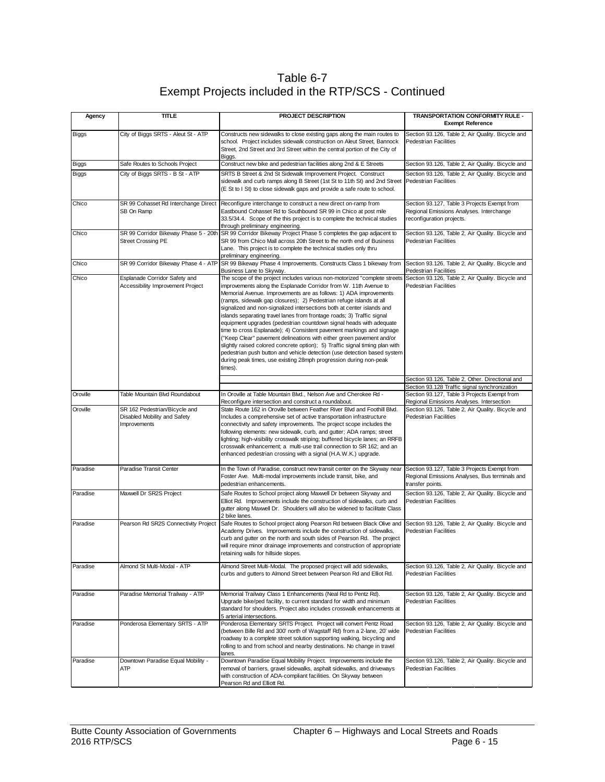Table 6-7 Exempt Projects included in the RTP/SCS - Continued

| Agency       | <b>TITLE</b>                                                                  | PROJECT DESCRIPTION                                                                                                                                                                                                                                                                                                                                                                                                                                                                                                                                                                                                                                                                                                                                                                                                                                                                                                | TRANSPORTATION CONFORMITY RULE -<br><b>Exempt Reference</b>                                                           |
|--------------|-------------------------------------------------------------------------------|--------------------------------------------------------------------------------------------------------------------------------------------------------------------------------------------------------------------------------------------------------------------------------------------------------------------------------------------------------------------------------------------------------------------------------------------------------------------------------------------------------------------------------------------------------------------------------------------------------------------------------------------------------------------------------------------------------------------------------------------------------------------------------------------------------------------------------------------------------------------------------------------------------------------|-----------------------------------------------------------------------------------------------------------------------|
| <b>Biggs</b> | City of Biggs SRTS - Aleut St - ATP                                           | Constructs new sidewalks to close existing gaps along the main routes to<br>school. Project includes sidewalk construction on Aleut Street, Bannock<br>Street, 2nd Street and 3rd Street within the central portion of the City of<br>Biggs.                                                                                                                                                                                                                                                                                                                                                                                                                                                                                                                                                                                                                                                                       | Section 93.126, Table 2, Air Quality. Bicycle and<br><b>Pedestrian Facilities</b>                                     |
| Biggs        | Safe Routes to Schools Project                                                | Construct new bike and pedestrian facilities along 2nd & E Streets                                                                                                                                                                                                                                                                                                                                                                                                                                                                                                                                                                                                                                                                                                                                                                                                                                                 | Section 93.126, Table 2, Air Quality. Bicycle and                                                                     |
| <b>Biggs</b> | City of Biggs SRTS - B St - ATP                                               | SRTS B Street & 2nd St Sidewalk Improvement Project. Construct<br>sidewalk and curb ramps along B Street (1st St to 11th St) and 2nd Street<br>(E St to I St) to close sidewalk gaps and provide a safe route to school.                                                                                                                                                                                                                                                                                                                                                                                                                                                                                                                                                                                                                                                                                           | Section 93.126, Table 2, Air Quality. Bicycle and<br>Pedestrian Facilities                                            |
| Chico        | SR 99 Cohasset Rd Interchange Direct<br>SB On Ramp                            | Reconfigure interchange to construct a new direct on-ramp from<br>Eastbound Cohasset Rd to Southbound SR 99 in Chico at post mile<br>33.5/34.4. Scope of the this project is to complete the technical studies<br>through preliminary engineering.                                                                                                                                                                                                                                                                                                                                                                                                                                                                                                                                                                                                                                                                 | Section 93.127, Table 3 Projects Exempt from<br>Regional Emissions Analyses. Interchange<br>reconfiguration projects. |
| Chico        | <b>Street Crossing PE</b>                                                     | SR 99 Corridor Bikeway Phase 5 - 20th SR 99 Corridor Bikeway Project Phase 5 completes the gap adjacent to<br>SR 99 from Chico Mall across 20th Street to the north end of Business<br>Lane. This project is to complete the technical studies only thru<br>preliminary engineering.                                                                                                                                                                                                                                                                                                                                                                                                                                                                                                                                                                                                                               | Section 93.126, Table 2, Air Quality. Bicycle and<br><b>Pedestrian Facilities</b>                                     |
| Chico        |                                                                               | SR 99 Corridor Bikeway Phase 4 - ATP SR 99 Bikeway Phase 4 Improvements. Constructs Class 1 bikeway from<br>Business Lane to Skyway.                                                                                                                                                                                                                                                                                                                                                                                                                                                                                                                                                                                                                                                                                                                                                                               | Section 93.126, Table 2, Air Quality. Bicycle and<br><b>Pedestrian Facilities</b>                                     |
| Chico        | Esplanade Corridor Safety and<br><b>Accessibility Improvement Project</b>     | The scope of the project includes various non-motorized "complete streets<br>improvements along the Esplanade Corridor from W. 11th Avenue to<br>Memorial Avenue. Improvements are as follows: 1) ADA improvements<br>(ramps, sidewalk gap closures); 2) Pedestrian refuge islands at all<br>signalized and non-signalized intersections both at center islands and<br>islands separating travel lanes from frontage roads; 3) Traffic signal<br>equipment upgrades (pedestrian countdown signal heads with adequate<br>time to cross Esplanade); 4) Consistent pavement markings and signage<br>("Keep Clear" pavement delineations with either green pavement and/or<br>slightly raised colored concrete option); 5) Traffic signal timing plan with<br>pedestrian push button and vehicle detection (use detection based system<br>during peak times, use existing 28mph progression during non-peak<br>times). | Section 93.126, Table 2, Air Quality. Bicycle and<br><b>Pedestrian Facilities</b>                                     |
|              |                                                                               |                                                                                                                                                                                                                                                                                                                                                                                                                                                                                                                                                                                                                                                                                                                                                                                                                                                                                                                    | Section 93.126, Table 2, Other. Directional and<br>Section 93.128 Traffic signal synchronization                      |
| Oroville     | Table Mountain Blvd Roundabout                                                | In Oroville at Table Mountain Blvd., Nelson Ave and Cherokee Rd -<br>Reconfigure intersection and construct a roundabout.                                                                                                                                                                                                                                                                                                                                                                                                                                                                                                                                                                                                                                                                                                                                                                                          | Section 93.127, Table 3 Projects Exempt from<br>Regional Emissions Analyses. Intersection                             |
| Oroville     | SR 162 Pedestrian/Bicycle and<br>Disabled Mobility and Safety<br>Improvements | State Route 162 in Oroville between Feather River Blvd and Foothill Blvd.<br>Includes a comprehensive set of active transportation infrastructure<br>connectivity and safety improvements. The project scope includes the<br>following elements: new sidewalk, curb, and gutter; ADA ramps; street<br>lighting; high-visibility crosswalk striping; buffered bicycle lanes; an RRFB<br>crosswalk enhancement; a multi-use trail connection to SR 162; and an<br>enhanced pedestrian crossing with a signal (H.A.W.K.) upgrade.                                                                                                                                                                                                                                                                                                                                                                                     | Section 93.126, Table 2, Air Quality. Bicycle and<br><b>Pedestrian Facilities</b>                                     |
| Paradise     | Paradise Transit Center                                                       | In the Town of Paradise, construct new transit center on the Skyway near<br>Foster Ave. Multi-modal improvements include transit, bike, and<br>pedestrian enhancements.                                                                                                                                                                                                                                                                                                                                                                                                                                                                                                                                                                                                                                                                                                                                            | Section 93.127, Table 3 Projects Exempt from<br>Regional Emissions Analyses, Bus terminals and<br>transfer points.    |
| Paradise     | Maxwell Dr SR2S Project                                                       | Safe Routes to School project along Maxwell Dr between Skyway and<br>Elliot Rd. Improvements include the construction of sidewalks, curb and<br>gutter along Maxwell Dr. Shoulders will also be widened to facilitate Class<br>2 bike lanes.                                                                                                                                                                                                                                                                                                                                                                                                                                                                                                                                                                                                                                                                       | Section 93.126, Table 2, Air Quality. Bicycle and<br><b>Pedestrian Facilities</b>                                     |
| Paradise     | Pearson Rd SR2S Connectivity Project                                          | Safe Routes to School project along Pearson Rd between Black Olive and<br>Academy Drives. Improvements include the construction of sidewalks,<br>curb and gutter on the north and south sides of Pearson Rd. The project<br>will require minor drainage improvements and construction of appropriate<br>retaining walls for hillside slopes.                                                                                                                                                                                                                                                                                                                                                                                                                                                                                                                                                                       | Section 93.126, Table 2, Air Quality. Bicycle and<br><b>Pedestrian Facilities</b>                                     |
| Paradise     | Almond St Multi-Modal - ATP                                                   | Almond Street Multi-Modal. The proposed project will add sidewalks,<br>curbs and gutters to Almond Street between Pearson Rd and Elliot Rd.                                                                                                                                                                                                                                                                                                                                                                                                                                                                                                                                                                                                                                                                                                                                                                        | Section 93.126, Table 2, Air Quality. Bicycle and<br><b>Pedestrian Facilities</b>                                     |
| Paradise     | Paradise Memorial Trailway - ATP                                              | Memorial Trailway Class 1 Enhancements (Neal Rd to Pentz Rd).<br>Upgrade bike/ped facility, to current standard for width and minimum<br>standard for shoulders. Project also includes crosswalk enhancements at<br>5 arterial intersections.                                                                                                                                                                                                                                                                                                                                                                                                                                                                                                                                                                                                                                                                      | Section 93.126, Table 2, Air Quality. Bicycle and<br><b>Pedestrian Facilities</b>                                     |
| Paradise     | Ponderosa Elementary SRTS - ATP                                               | Ponderosa Elementary SRTS Project. Project will convert Pentz Road<br>(between Bille Rd and 300' north of Wagstaff Rd) from a 2-lane, 20' wide<br>roadway to a complete street solution supporting walking, bicycling and<br>rolling to and from school and nearby destinations. No change in travel<br>lanes.                                                                                                                                                                                                                                                                                                                                                                                                                                                                                                                                                                                                     | Section 93.126, Table 2, Air Quality. Bicycle and<br><b>Pedestrian Facilities</b>                                     |
| Paradise     | Downtown Paradise Equal Mobility -<br>ATP                                     | Downtown Paradise Equal Mobility Project. Improvements include the<br>removal of barriers, gravel sidewalks, asphalt sidewalks, and driveways<br>with construction of ADA-compliant facilities. On Skyway between<br>Pearson Rd and Elliott Rd.                                                                                                                                                                                                                                                                                                                                                                                                                                                                                                                                                                                                                                                                    | Section 93.126, Table 2, Air Quality. Bicycle and<br><b>Pedestrian Facilities</b>                                     |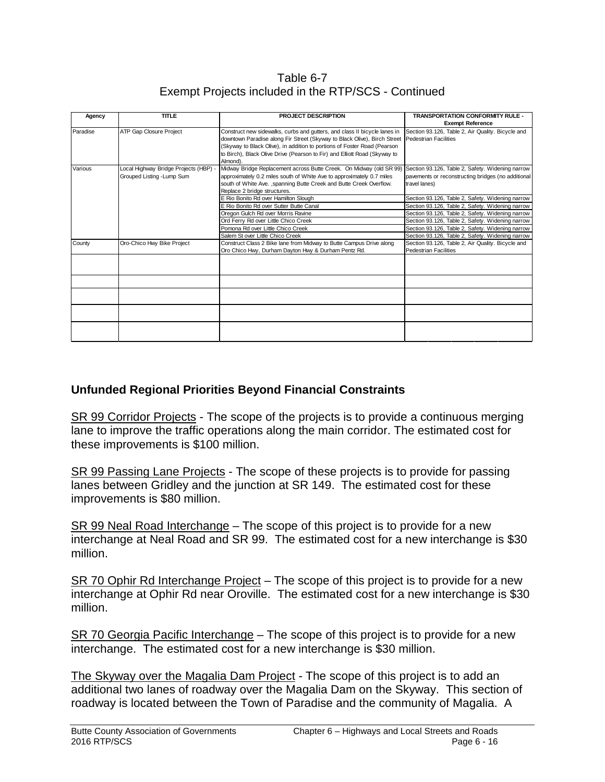Table 6-7 Exempt Projects included in the RTP/SCS - Continued

| Agency   | <b>TITLE</b>                          | <b>PROJECT DESCRIPTION</b>                                                                                           | <b>TRANSPORTATION CONFORMITY RULE -</b>            |
|----------|---------------------------------------|----------------------------------------------------------------------------------------------------------------------|----------------------------------------------------|
|          |                                       |                                                                                                                      | <b>Exempt Reference</b>                            |
| Paradise | ATP Gap Closure Project               | Construct new sidewalks, curbs and gutters, and class II bicycle lanes in                                            | Section 93.126, Table 2, Air Quality. Bicycle and  |
|          |                                       | downtown Paradise along Fir Street (Skyway to Black Olive), Birch Street   Pedestrian Facilities                     |                                                    |
|          |                                       | (Skyway to Black Olive), in addition to portions of Foster Road (Pearson                                             |                                                    |
|          |                                       | to Birch), Black Olive Drive (Pearson to Fir) and Elliott Road (Skyway to                                            |                                                    |
|          |                                       | Almond).                                                                                                             |                                                    |
| Various  | Local Highway Bridge Projects (HBP) - | Midway Bridge Replacement across Butte Creek. On Midway (old SR 99) Section 93.126, Table 2, Safety. Widening narrow |                                                    |
|          | Grouped Listing - Lump Sum            | approximately 0.2 miles south of White Ave to approximately 0.7 miles                                                | pavements or reconstructing bridges (no additional |
|          |                                       | south of White Ave., spanning Butte Creek and Butte Creek Overflow.                                                  | travel lanes)                                      |
|          |                                       | Replace 2 bridge structures.                                                                                         |                                                    |
|          |                                       | E Rio Bonito Rd over Hamilton Slough                                                                                 | Section 93.126, Table 2, Safety. Widening narrow   |
|          |                                       | E Rio Bonito Rd over Sutter Butte Canal                                                                              | Section 93.126, Table 2, Safety. Widening narrow   |
|          |                                       | Oregon Gulch Rd over Morris Ravine                                                                                   | Section 93.126, Table 2, Safety. Widening narrow   |
|          |                                       | Ord Ferry Rd over Little Chico Creek                                                                                 | Section 93.126, Table 2, Safety. Widening narrow   |
|          |                                       | Pomona Rd over Little Chico Creek                                                                                    | Section 93.126, Table 2, Safety. Widening narrow   |
|          |                                       | Salem St over Little Chico Creek                                                                                     | Section 93.126, Table 2, Safety. Widening narrow   |
| County   | Oro-Chico Hwy Bike Project            | Construct Class 2 Bike lane from Midway to Butte Campus Drive along                                                  | Section 93.126, Table 2, Air Quality. Bicycle and  |
|          |                                       | Oro Chico Hwy, Durham Dayton Hwy & Durham Pentz Rd.                                                                  | Pedestrian Facilities                              |
|          |                                       |                                                                                                                      |                                                    |
|          |                                       |                                                                                                                      |                                                    |
|          |                                       |                                                                                                                      |                                                    |
|          |                                       |                                                                                                                      |                                                    |
|          |                                       |                                                                                                                      |                                                    |
|          |                                       |                                                                                                                      |                                                    |
|          |                                       |                                                                                                                      |                                                    |
|          |                                       |                                                                                                                      |                                                    |
|          |                                       |                                                                                                                      |                                                    |
|          |                                       |                                                                                                                      |                                                    |

#### **Unfunded Regional Priorities Beyond Financial Constraints**

SR 99 Corridor Projects - The scope of the projects is to provide a continuous merging lane to improve the traffic operations along the main corridor. The estimated cost for these improvements is \$100 million.

SR 99 Passing Lane Projects - The scope of these projects is to provide for passing lanes between Gridley and the junction at SR 149. The estimated cost for these improvements is \$80 million.

SR 99 Neal Road Interchange – The scope of this project is to provide for a new interchange at Neal Road and SR 99. The estimated cost for a new interchange is \$30 million.

SR 70 Ophir Rd Interchange Project – The scope of this project is to provide for a new interchange at Ophir Rd near Oroville. The estimated cost for a new interchange is \$30 million.

SR 70 Georgia Pacific Interchange – The scope of this project is to provide for a new interchange. The estimated cost for a new interchange is \$30 million.

The Skyway over the Magalia Dam Project - The scope of this project is to add an additional two lanes of roadway over the Magalia Dam on the Skyway. This section of roadway is located between the Town of Paradise and the community of Magalia. A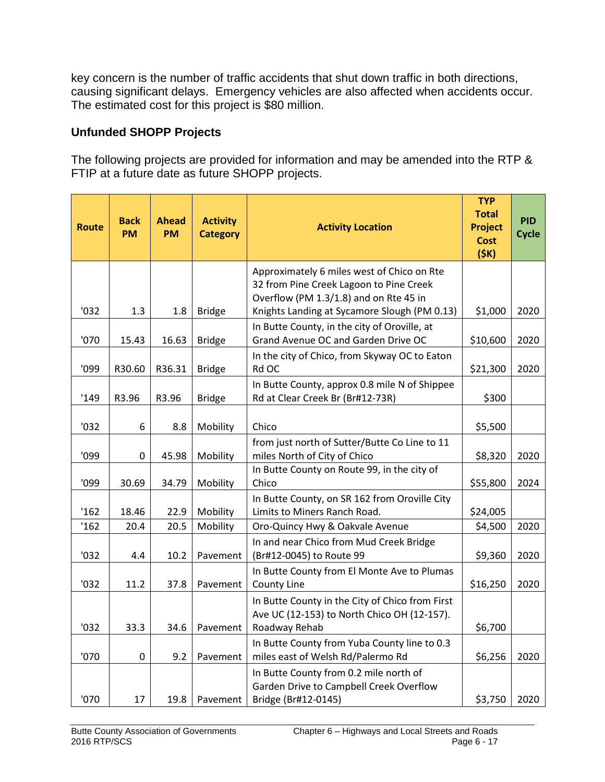key concern is the number of traffic accidents that shut down traffic in both directions, causing significant delays. Emergency vehicles are also affected when accidents occur. The estimated cost for this project is \$80 million.

#### **Unfunded SHOPP Projects**

The following projects are provided for information and may be amended into the RTP & FTIP at a future date as future SHOPP projects.

| <b>Route</b> | <b>Back</b><br><b>PM</b> | <b>Ahead</b><br><b>PM</b> | <b>Activity</b><br><b>Category</b> | <b>Activity Location</b>                                                                       | <b>TYP</b><br><b>Total</b><br><b>Project</b><br><b>Cost</b><br>(5K) | <b>PID</b><br><b>Cycle</b> |
|--------------|--------------------------|---------------------------|------------------------------------|------------------------------------------------------------------------------------------------|---------------------------------------------------------------------|----------------------------|
|              |                          |                           |                                    | Approximately 6 miles west of Chico on Rte<br>32 from Pine Creek Lagoon to Pine Creek          |                                                                     |                            |
| '032         | 1.3                      | 1.8                       | <b>Bridge</b>                      | Overflow (PM 1.3/1.8) and on Rte 45 in<br>Knights Landing at Sycamore Slough (PM 0.13)         | \$1,000                                                             | 2020                       |
|              |                          |                           |                                    | In Butte County, in the city of Oroville, at<br>Grand Avenue OC and Garden Drive OC            |                                                                     |                            |
| '070         | 15.43                    | 16.63                     | <b>Bridge</b>                      | In the city of Chico, from Skyway OC to Eaton                                                  | \$10,600                                                            | 2020                       |
| '099         | R30.60                   | R36.31                    | <b>Bridge</b>                      | Rd OC                                                                                          | \$21,300                                                            | 2020                       |
| '149         | R3.96                    | R3.96                     | <b>Bridge</b>                      | In Butte County, approx 0.8 mile N of Shippee<br>Rd at Clear Creek Br (Br#12-73R)              | \$300                                                               |                            |
| '032         | 6                        | 8.8                       | Mobility                           | Chico                                                                                          | \$5,500                                                             |                            |
|              |                          |                           |                                    | from just north of Sutter/Butte Co Line to 11                                                  |                                                                     |                            |
| '099         | 0                        | 45.98                     | Mobility                           | miles North of City of Chico                                                                   | \$8,320                                                             | 2020                       |
| '099         | 30.69                    | 34.79                     | Mobility                           | In Butte County on Route 99, in the city of<br>Chico                                           | \$55,800                                                            | 2024                       |
| '162         | 18.46                    | 22.9                      | Mobility                           | In Butte County, on SR 162 from Oroville City<br>Limits to Miners Ranch Road.                  | \$24,005                                                            |                            |
| '162         | 20.4                     | 20.5                      | Mobility                           | Oro-Quincy Hwy & Oakvale Avenue                                                                | \$4,500                                                             | 2020                       |
| '032         | 4.4                      | 10.2                      | Pavement                           | In and near Chico from Mud Creek Bridge<br>(Br#12-0045) to Route 99                            | \$9,360                                                             | 2020                       |
|              |                          |                           |                                    | In Butte County from El Monte Ave to Plumas                                                    |                                                                     |                            |
| '032         | 11.2                     | 37.8                      | Pavement                           | County Line                                                                                    | \$16,250                                                            | 2020                       |
|              |                          |                           |                                    | In Butte County in the City of Chico from First<br>Ave UC (12-153) to North Chico OH (12-157). |                                                                     |                            |
| '032         | 33.3                     | 34.6                      | Pavement                           | Roadway Rehab                                                                                  | \$6,700                                                             |                            |
| '070         | 0                        | 9.2                       | Pavement                           | In Butte County from Yuba County line to 0.3<br>miles east of Welsh Rd/Palermo Rd              | \$6,256                                                             | 2020                       |
|              |                          |                           |                                    | In Butte County from 0.2 mile north of<br>Garden Drive to Campbell Creek Overflow              |                                                                     |                            |
| '070         | 17                       | 19.8                      | Pavement                           | Bridge (Br#12-0145)                                                                            | \$3,750                                                             | 2020                       |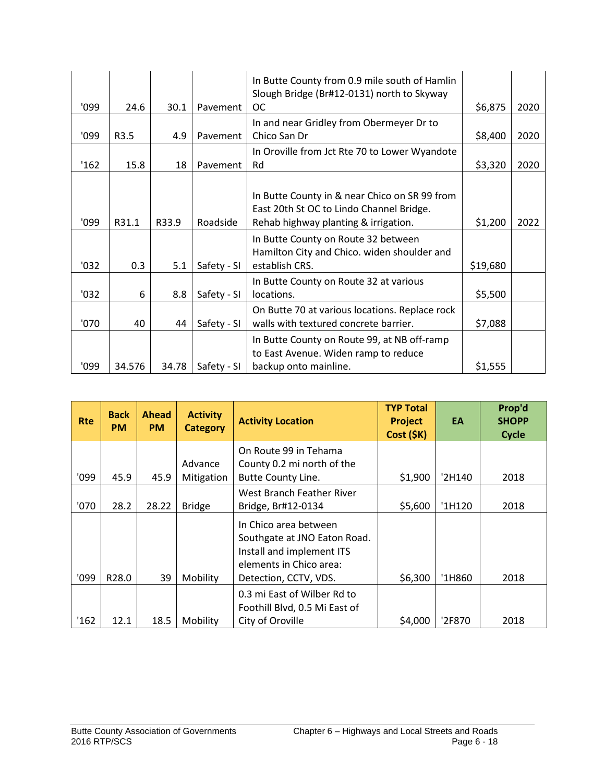|       |        |       |             | In Butte County from 0.9 mile south of Hamlin<br>Slough Bridge (Br#12-0131) north to Skyway |          |      |
|-------|--------|-------|-------------|---------------------------------------------------------------------------------------------|----------|------|
| '099  | 24.6   | 30.1  | Pavement    | <b>OC</b>                                                                                   | \$6,875  | 2020 |
|       |        |       |             | In and near Gridley from Obermeyer Dr to                                                    |          |      |
| '099  | R3.5   | 4.9   | Pavement    | Chico San Dr                                                                                | \$8,400  | 2020 |
|       |        |       |             | In Oroville from Jct Rte 70 to Lower Wyandote                                               |          |      |
| '162  | 15.8   | 18    | Pavement    | Rd                                                                                          | \$3,320  | 2020 |
|       |        |       |             |                                                                                             |          |      |
|       |        |       |             | In Butte County in & near Chico on SR 99 from<br>East 20th St OC to Lindo Channel Bridge.   |          |      |
| '099  | R31.1  | R33.9 | Roadside    | Rehab highway planting & irrigation.                                                        | \$1,200  | 2022 |
|       |        |       |             | In Butte County on Route 32 between<br>Hamilton City and Chico. widen shoulder and          |          |      |
| '032  | 0.3    | 5.1   | Safety - SI | establish CRS.                                                                              | \$19,680 |      |
|       |        |       |             | In Butte County on Route 32 at various                                                      |          |      |
| '032  | 6      | 8.8   | Safety - SI | locations.                                                                                  | \$5,500  |      |
|       |        |       |             | On Butte 70 at various locations. Replace rock                                              |          |      |
| '070' | 40     | 44    | Safety - SI | walls with textured concrete barrier.                                                       | \$7,088  |      |
|       |        |       |             | In Butte County on Route 99, at NB off-ramp<br>to East Avenue. Widen ramp to reduce         |          |      |
| '099  | 34.576 | 34.78 | Safety - SI | backup onto mainline.                                                                       | \$1,555  |      |

| <b>Rte</b> | <b>Back</b><br><b>PM</b> | <b>Ahead</b><br><b>PM</b> | <b>Activity</b><br><b>Category</b> | <b>Activity Location</b>                                                                                                               | <b>TYP Total</b><br><b>Project</b><br>Cost (5K) | EA     | Prop'd<br><b>SHOPP</b><br><b>Cycle</b> |
|------------|--------------------------|---------------------------|------------------------------------|----------------------------------------------------------------------------------------------------------------------------------------|-------------------------------------------------|--------|----------------------------------------|
| '099       | 45.9                     | 45.9                      | Advance<br>Mitigation              | On Route 99 in Tehama<br>County 0.2 mi north of the<br><b>Butte County Line.</b>                                                       | \$1,900                                         | '2H140 | 2018                                   |
| '070       | 28.2                     | 28.22                     | <b>Bridge</b>                      | West Branch Feather River<br>Bridge, Br#12-0134                                                                                        | \$5,600                                         | '1H120 | 2018                                   |
| '099       | R <sub>28.0</sub>        | 39                        | Mobility                           | In Chico area between<br>Southgate at JNO Eaton Road.<br>Install and implement ITS<br>elements in Chico area:<br>Detection, CCTV, VDS. | \$6,300                                         | '1H860 | 2018                                   |
| '162       | 12.1                     | 18.5                      | Mobility                           | 0.3 mi East of Wilber Rd to<br>Foothill Blvd, 0.5 Mi East of<br>City of Oroville                                                       | \$4,000                                         | '2F870 | 2018                                   |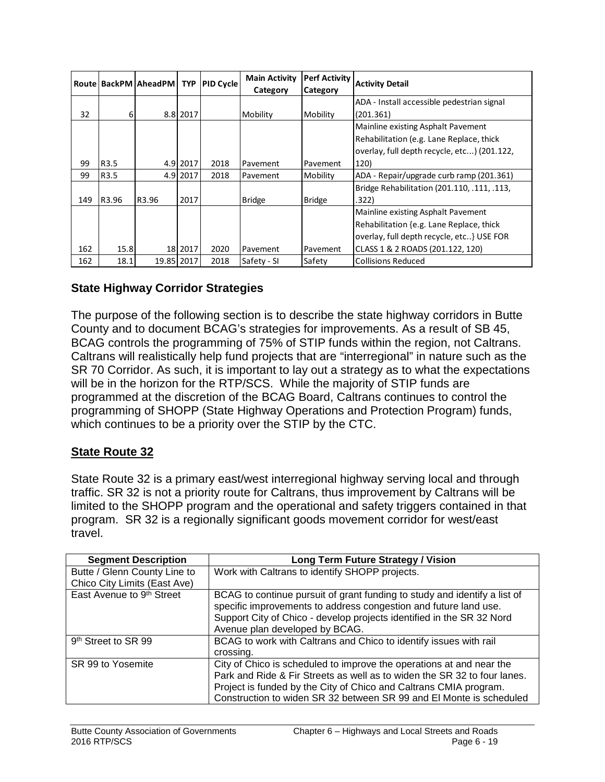|     |                  | Route   BackPM   AheadPM   TYP |          | <b>PID Cycle</b> | <b>Main Activity</b> | Perf Activity | <b>Activity Detail</b>                      |
|-----|------------------|--------------------------------|----------|------------------|----------------------|---------------|---------------------------------------------|
|     |                  |                                |          |                  | Category             | Category      |                                             |
|     |                  |                                |          |                  |                      |               | ADA - Install accessible pedestrian signal  |
| 32  | $6 \mid$         |                                | 8.8 2017 |                  | Mobility             | Mobility      | (201.361)                                   |
|     |                  |                                |          |                  |                      |               | Mainline existing Asphalt Pavement          |
|     |                  |                                |          |                  |                      |               | Rehabilitation (e.g. Lane Replace, thick    |
|     |                  |                                |          |                  |                      |               | overlay, full depth recycle, etc) (201.122, |
| 99  | R <sub>3.5</sub> |                                | 4.9 2017 | 2018             | Pavement             | Pavement      | 120)                                        |
| 99  | R3.5             |                                | 4.9 2017 | 2018             | Pavement             | Mobility      | ADA - Repair/upgrade curb ramp (201.361)    |
|     |                  |                                |          |                  |                      |               | Bridge Rehabilitation (201.110, .111, .113, |
| 149 | R3.96            | R3.96                          | 2017     |                  | <b>Bridge</b>        | <b>Bridge</b> | .322)                                       |
|     |                  |                                |          |                  |                      |               | Mainline existing Asphalt Pavement          |
|     |                  |                                |          |                  |                      |               | Rehabilitation {e.g. Lane Replace, thick    |
|     |                  |                                |          |                  |                      |               | overlay, full depth recycle, etc} USE FOR   |
| 162 | 15.8             |                                | 18 2017  | 2020             | Pavement             | Pavement      | CLASS 1 & 2 ROADS (201.122, 120)            |
| 162 | 18.1             | 19.85 2017                     |          | 2018             | Safety - SI          | Safety        | <b>Collisions Reduced</b>                   |

# **State Highway Corridor Strategies**

The purpose of the following section is to describe the state highway corridors in Butte County and to document BCAG's strategies for improvements. As a result of SB 45, BCAG controls the programming of 75% of STIP funds within the region, not Caltrans. Caltrans will realistically help fund projects that are "interregional" in nature such as the SR 70 Corridor. As such, it is important to lay out a strategy as to what the expectations will be in the horizon for the RTP/SCS. While the majority of STIP funds are programmed at the discretion of the BCAG Board, Caltrans continues to control the programming of SHOPP (State Highway Operations and Protection Program) funds, which continues to be a priority over the STIP by the CTC.

#### **State Route 32**

State Route 32 is a primary east/west interregional highway serving local and through traffic. SR 32 is not a priority route for Caltrans, thus improvement by Caltrans will be limited to the SHOPP program and the operational and safety triggers contained in that program. SR 32 is a regionally significant goods movement corridor for west/east travel.

| <b>Segment Description</b>      | <b>Long Term Future Strategy / Vision</b>                                                                                                                                                                                                                                                    |
|---------------------------------|----------------------------------------------------------------------------------------------------------------------------------------------------------------------------------------------------------------------------------------------------------------------------------------------|
| Butte / Glenn County Line to    | Work with Caltrans to identify SHOPP projects.                                                                                                                                                                                                                                               |
| Chico City Limits (East Ave)    |                                                                                                                                                                                                                                                                                              |
| East Avenue to 9th Street       | BCAG to continue pursuit of grant funding to study and identify a list of<br>specific improvements to address congestion and future land use.<br>Support City of Chico - develop projects identified in the SR 32 Nord<br>Avenue plan developed by BCAG.                                     |
| 9 <sup>th</sup> Street to SR 99 | BCAG to work with Caltrans and Chico to identify issues with rail<br>crossing.                                                                                                                                                                                                               |
| SR 99 to Yosemite               | City of Chico is scheduled to improve the operations at and near the<br>Park and Ride & Fir Streets as well as to widen the SR 32 to four lanes.<br>Project is funded by the City of Chico and Caltrans CMIA program.<br>Construction to widen SR 32 between SR 99 and El Monte is scheduled |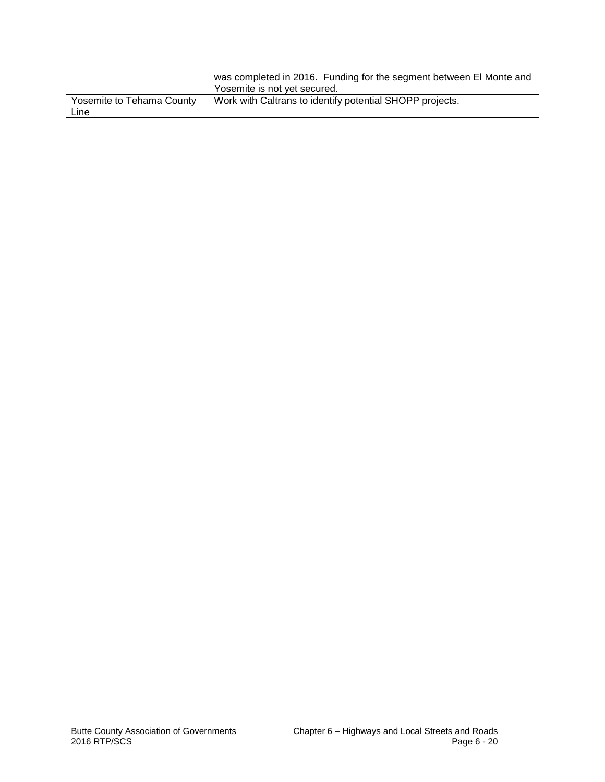|                                   | was completed in 2016. Funding for the segment between El Monte and<br>Yosemite is not yet secured. |
|-----------------------------------|-----------------------------------------------------------------------------------------------------|
| Yosemite to Tehama County<br>∟ine | Work with Caltrans to identify potential SHOPP projects.                                            |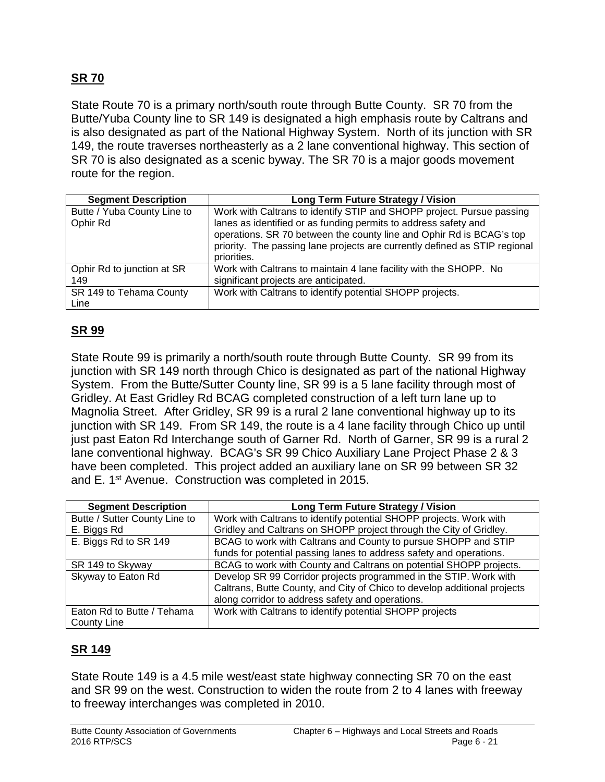# **SR 70**

State Route 70 is a primary north/south route through Butte County. SR 70 from the Butte/Yuba County line to SR 149 is designated a high emphasis route by Caltrans and is also designated as part of the National Highway System. North of its junction with SR 149, the route traverses northeasterly as a 2 lane conventional highway. This section of SR 70 is also designated as a scenic byway. The SR 70 is a major goods movement route for the region.

| <b>Segment Description</b>              | <b>Long Term Future Strategy / Vision</b>                                                                                                                                                                                                                                                      |
|-----------------------------------------|------------------------------------------------------------------------------------------------------------------------------------------------------------------------------------------------------------------------------------------------------------------------------------------------|
| Butte / Yuba County Line to<br>Ophir Rd | Work with Caltrans to identify STIP and SHOPP project. Pursue passing<br>lanes as identified or as funding permits to address safety and<br>operations. SR 70 between the county line and Ophir Rd is BCAG's top<br>priority. The passing lane projects are currently defined as STIP regional |
|                                         | priorities.                                                                                                                                                                                                                                                                                    |
| Ophir Rd to junction at SR<br>149       | Work with Caltrans to maintain 4 lane facility with the SHOPP. No<br>significant projects are anticipated.                                                                                                                                                                                     |
| SR 149 to Tehama County<br>Line         | Work with Caltrans to identify potential SHOPP projects.                                                                                                                                                                                                                                       |

# **SR 99**

State Route 99 is primarily a north/south route through Butte County. SR 99 from its junction with SR 149 north through Chico is designated as part of the national Highway System. From the Butte/Sutter County line, SR 99 is a 5 lane facility through most of Gridley. At East Gridley Rd BCAG completed construction of a left turn lane up to Magnolia Street. After Gridley, SR 99 is a rural 2 lane conventional highway up to its junction with SR 149. From SR 149, the route is a 4 lane facility through Chico up until just past Eaton Rd Interchange south of Garner Rd. North of Garner, SR 99 is a rural 2 lane conventional highway. BCAG's SR 99 Chico Auxiliary Lane Project Phase 2 & 3 have been completed. This project added an auxiliary lane on SR 99 between SR 32 and E. 1<sup>st</sup> Avenue. Construction was completed in 2015.

| <b>Segment Description</b>                | <b>Long Term Future Strategy / Vision</b>                                                                                                                                                         |
|-------------------------------------------|---------------------------------------------------------------------------------------------------------------------------------------------------------------------------------------------------|
| Butte / Sutter County Line to             | Work with Caltrans to identify potential SHOPP projects. Work with                                                                                                                                |
| E. Biggs Rd                               | Gridley and Caltrans on SHOPP project through the City of Gridley.                                                                                                                                |
| E. Biggs Rd to SR 149                     | BCAG to work with Caltrans and County to pursue SHOPP and STIP                                                                                                                                    |
|                                           | funds for potential passing lanes to address safety and operations.                                                                                                                               |
| SR 149 to Skyway                          | BCAG to work with County and Caltrans on potential SHOPP projects.                                                                                                                                |
| Skyway to Eaton Rd                        | Develop SR 99 Corridor projects programmed in the STIP. Work with<br>Caltrans, Butte County, and City of Chico to develop additional projects<br>along corridor to address safety and operations. |
| Eaton Rd to Butte / Tehama<br>County Line | Work with Caltrans to identify potential SHOPP projects                                                                                                                                           |

#### **SR 149**

State Route 149 is a 4.5 mile west/east state highway connecting SR 70 on the east and SR 99 on the west. Construction to widen the route from 2 to 4 lanes with freeway to freeway interchanges was completed in 2010.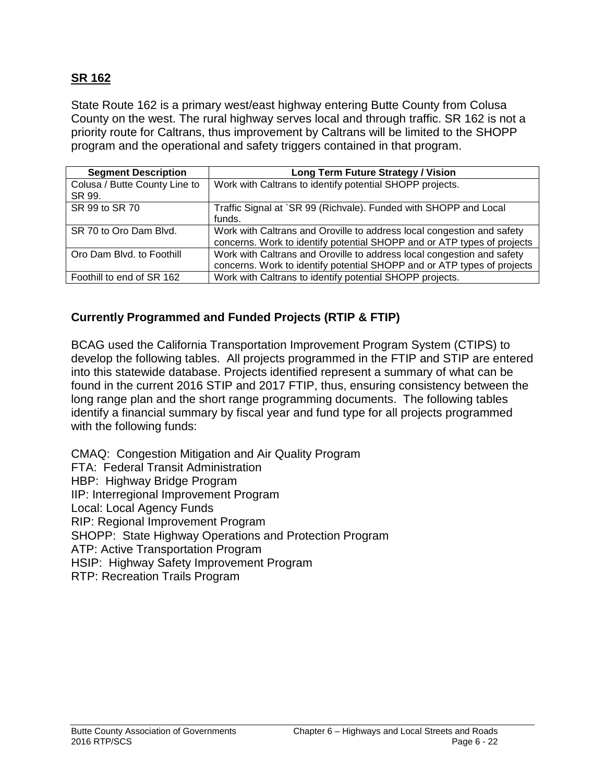#### **SR 162**

State Route 162 is a primary west/east highway entering Butte County from Colusa County on the west. The rural highway serves local and through traffic. SR 162 is not a priority route for Caltrans, thus improvement by Caltrans will be limited to the SHOPP program and the operational and safety triggers contained in that program.

| <b>Segment Description</b>              | <b>Long Term Future Strategy / Vision</b>                                                                                                         |
|-----------------------------------------|---------------------------------------------------------------------------------------------------------------------------------------------------|
| Colusa / Butte County Line to<br>SR 99. | Work with Caltrans to identify potential SHOPP projects.                                                                                          |
| SR 99 to SR 70                          | Traffic Signal at `SR 99 (Richvale). Funded with SHOPP and Local<br>funds.                                                                        |
| SR 70 to Oro Dam Blvd.                  | Work with Caltrans and Oroville to address local congestion and safety<br>concerns. Work to identify potential SHOPP and or ATP types of projects |
| Oro Dam Blvd. to Foothill               | Work with Caltrans and Oroville to address local congestion and safety<br>concerns. Work to identify potential SHOPP and or ATP types of projects |
| Foothill to end of SR 162               | Work with Caltrans to identify potential SHOPP projects.                                                                                          |

# **Currently Programmed and Funded Projects (RTIP & FTIP)**

BCAG used the California Transportation Improvement Program System (CTIPS) to develop the following tables. All projects programmed in the FTIP and STIP are entered into this statewide database. Projects identified represent a summary of what can be found in the current 2016 STIP and 2017 FTIP, thus, ensuring consistency between the long range plan and the short range programming documents. The following tables identify a financial summary by fiscal year and fund type for all projects programmed with the following funds:

CMAQ: Congestion Mitigation and Air Quality Program FTA: Federal Transit Administration HBP: Highway Bridge Program IIP: Interregional Improvement Program Local: Local Agency Funds RIP: Regional Improvement Program SHOPP: State Highway Operations and Protection Program ATP: Active Transportation Program HSIP: Highway Safety Improvement Program RTP: Recreation Trails Program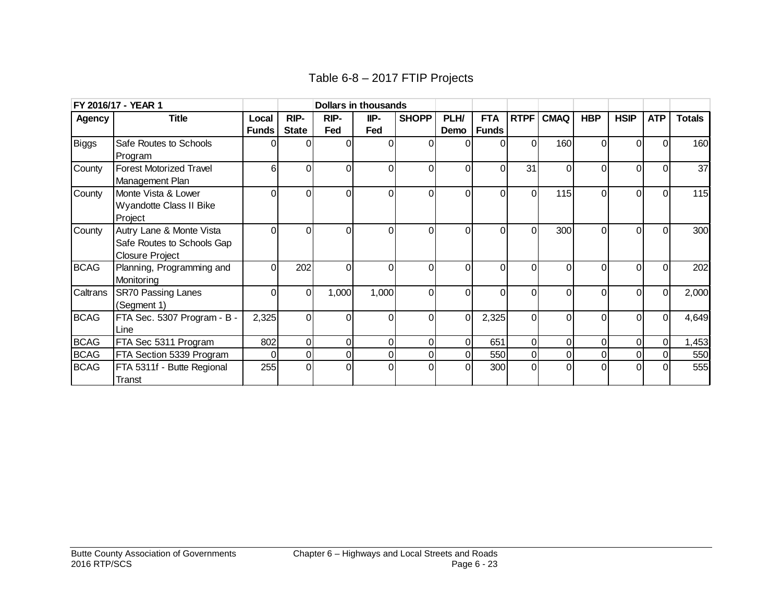| Table 6-8 - 2017 FTIP Projects |  |  |  |
|--------------------------------|--|--|--|
|--------------------------------|--|--|--|

|               | FY 2016/17 - YEAR 1                                                              |              |              |          | <b>Dollars in thousands</b> |                |                |              |                |                |            |                |            |               |
|---------------|----------------------------------------------------------------------------------|--------------|--------------|----------|-----------------------------|----------------|----------------|--------------|----------------|----------------|------------|----------------|------------|---------------|
| <b>Agency</b> | <b>Title</b>                                                                     | Local        | RIP-         | RIP-     | IIP-                        | <b>SHOPP</b>   | PLH/           | <b>FTA</b>   | <b>RTPF</b>    | <b>CMAQ</b>    | <b>HBP</b> | <b>HSIP</b>    | <b>ATP</b> | <b>Totals</b> |
|               |                                                                                  | <b>Funds</b> | <b>State</b> | Fed      | Fed                         |                | Demo           | <b>Funds</b> |                |                |            |                |            |               |
| Biggs         | Safe Routes to Schools<br>Program                                                |              |              | $\Omega$ |                             | 0              | 0              | $\Omega$     | $\Omega$       | 160            | $\Omega$   | $\Omega$       |            | 160           |
| County        | <b>Forest Motorized Travel</b><br>Management Plan                                | 6            | $\Omega$     | $\Omega$ | 0                           | $\Omega$       | $\Omega$       | $\Omega$     | 31             | $\Omega$       | $\Omega$   | $\Omega$       |            | 37            |
| County        | Monte Vista & Lower<br>Wyandotte Class II Bike<br>Project                        |              | ΩI           | $\Omega$ | O                           | ΩI             | $\Omega$       | $\Omega$     | $\Omega$       | 115            | $\Omega$   | ΩI             | വ          | 115           |
| County        | Autry Lane & Monte Vista<br>Safe Routes to Schools Gap<br><b>Closure Project</b> |              | $\Omega$     | $\Omega$ | 0                           | $\Omega$       | $\Omega$       | $\Omega$     | $\Omega$       | 300            | $\Omega$   | ΩI             |            | 300           |
| <b>BCAG</b>   | Planning, Programming and<br>Monitoring                                          |              | 202          | $\Omega$ |                             | $\Omega$       | $\Omega$       | $\Omega$     | 0              | $\Omega$       | $\Omega$   | ΩI             |            | 202           |
| Caltrans      | <b>SR70 Passing Lanes</b><br>(Segment 1)                                         |              | ΩI           | 1,000    | 1,000                       | $\overline{0}$ | $\Omega$       | $\Omega$     | $\Omega$       | $\Omega$       | $\Omega$   | $\Omega$       | ΩI         | 2,000         |
| <b>BCAG</b>   | FTA Sec. 5307 Program - B -<br>Line                                              | 2,325        | ΩI           | $\Omega$ | ሰ                           | $\overline{0}$ | $\Omega$       | 2,325        | $\Omega$       | $\Omega$       | $\Omega$   | ΩI             | ΩI         | 4,649         |
| <b>BCAG</b>   | FTA Sec 5311 Program                                                             | 802          | ΩI           | 0        | $\Omega$                    | Οl             | $\overline{0}$ | 651          | $\overline{0}$ | $\overline{0}$ | 0          | $\overline{0}$ | $\Omega$   | 1,453         |
| <b>BCAG</b>   | FTA Section 5339 Program                                                         |              | 01           | $\Omega$ |                             | 01             | $\overline{0}$ | 550          | $\overline{0}$ | 01             | $\pmb{0}$  | $\overline{0}$ |            | 550           |
| <b>BCAG</b>   | FTA 5311f - Butte Regional<br>Transt                                             | 255          | Οl           | $\Omega$ |                             | $\Omega$       | $\Omega$       | 300          | $\Omega$       | $\Omega$       | $\Omega$   | $\Omega$       |            | 555           |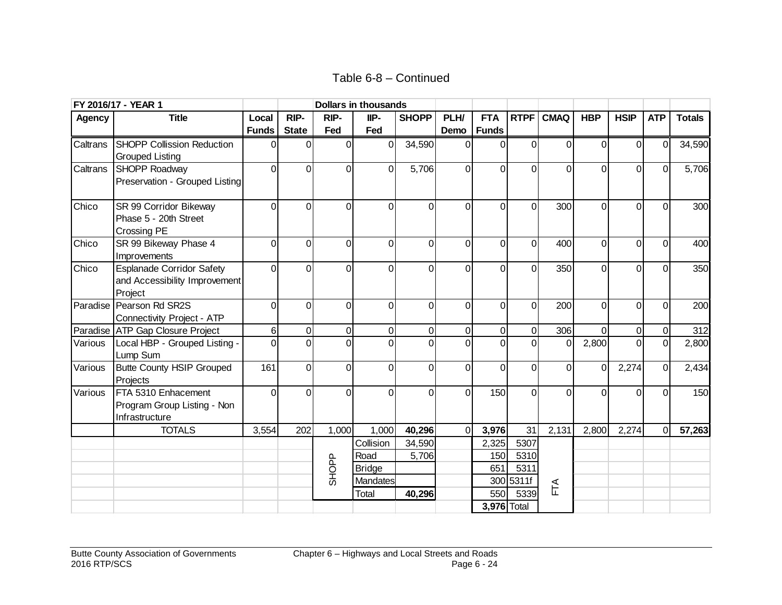Table 6-8 – Continued

|               | FY 2016/17 - YEAR 1                                                          |              |                |                | <b>Dollars in thousands</b> |                |                |                |                |                |                |                |              |               |
|---------------|------------------------------------------------------------------------------|--------------|----------------|----------------|-----------------------------|----------------|----------------|----------------|----------------|----------------|----------------|----------------|--------------|---------------|
| <b>Agency</b> | <b>Title</b>                                                                 | Local        | RIP-           | RIP-           | IIP-                        | <b>SHOPP</b>   | PLH/           | <b>FTA</b>     | <b>RTPF</b>    | <b>CMAQ</b>    | <b>HBP</b>     | <b>HSIP</b>    | <b>ATP</b>   | <b>Totals</b> |
|               |                                                                              | <b>Funds</b> | <b>State</b>   | Fed            | Fed                         |                | Demo           | <b>Funds</b>   |                |                |                |                |              |               |
| Caltrans      | <b>SHOPP Collission Reduction</b><br><b>Grouped Listing</b>                  | $\Omega$     | 0              | $\overline{0}$ | $\mathbf 0$                 | 34,590         | $\Omega$       | 0              | 0              | $\Omega$       | 0              | $\overline{0}$ | $\Omega$     | 34,590        |
| Caltrans      | SHOPP Roadway<br>Preservation - Grouped Listing                              | $\Omega$     | $\Omega$       | 0              | $\mathbf 0$                 | 5,706          | $\overline{0}$ | $\mathbf 0$    | 0              | $\overline{0}$ | $\overline{0}$ | $\overline{0}$ | $\Omega$     | 5,706         |
| Chico         | SR 99 Corridor Bikeway<br>Phase 5 - 20th Street<br><b>Crossing PE</b>        | $\Omega$     | $\Omega$       | $\Omega$       | $\Omega$                    | $\overline{0}$ | $\Omega$       | $\mathbf 0$    | 0              | 300            | $\mathbf 0$    | $\overline{0}$ | $\Omega$     | 300           |
| Chico         | SR 99 Bikeway Phase 4<br>Improvements                                        | $\Omega$     | $\Omega$       | $\mathbf 0$    | 0                           | $\mathsf 0$    | $\overline{0}$ | $\mathbf 0$    | $\mathbf 0$    | 400            | $\mathbf 0$    | $\overline{0}$ | $\Omega$     | 400           |
| Chico         | <b>Esplanade Corridor Safety</b><br>and Accessibility Improvement<br>Project | $\Omega$     | $\Omega$       | 0              | $\Omega$                    | $\overline{0}$ | $\Omega$       | $\mathbf 0$    | $\overline{0}$ | 350            | $\overline{0}$ | $\overline{0}$ | $\Omega$     | 350           |
| Paradise      | Pearson Rd SR2S<br><b>Connectivity Project - ATP</b>                         | $\Omega$     | $\Omega$       | $\mathbf 0$    | 0                           | $\overline{0}$ | $\Omega$       | $\mathbf 0$    | $\overline{0}$ | 200            | $\overline{0}$ | $\overline{0}$ | $\Omega$     | 200           |
|               | Paradise ATP Gap Closure Project                                             | 6            | $\overline{0}$ | $\overline{0}$ | $\mathbf 0$                 | $\overline{0}$ | $\overline{0}$ | $\mathbf 0$    | $\overline{0}$ | 306            | $\mathbf 0$    | $\overline{0}$ | $\Omega$     | 312           |
| Various       | Local HBP - Grouped Listing -<br>Lump Sum                                    | $\Omega$     | $\Omega$       | $\overline{0}$ | $\Omega$                    | $\overline{0}$ | $\Omega$       | $\overline{0}$ | $\overline{0}$ | $\Omega$       | 2,800          | $\Omega$       |              | 2,800         |
| Various       | <b>Butte County HSIP Grouped</b><br>Projects                                 | 161          | $\Omega$       | $\Omega$       | $\Omega$                    | $\overline{0}$ | $\Omega$       | $\Omega$       | $\Omega$       | $\Omega$       | $\overline{0}$ | 2,274          | $\Omega$     | 2,434         |
| Various       | FTA 5310 Enhacement<br>Program Group Listing - Non<br>Infrastructure         | $\Omega$     | U              | $\mathbf 0$    | $\Omega$                    | 0              | $\overline{0}$ | 150            | $\overline{0}$ | 0              | $\mathbf 0$    | $\overline{0}$ | <sup>0</sup> | 150           |
|               | <b>TOTALS</b>                                                                | 3,554        | 202            | 1,000          | 1,000                       | 40,296         | $\Omega$       | 3,976          | 31             | 2,131          | 2,800          | 2,274          | $\Omega$     | 57,263        |
|               |                                                                              |              |                |                | Collision                   | 34,590         |                | 2,325          | 5307           |                |                |                |              |               |
|               |                                                                              |              |                |                | Road                        | 5,706          |                | 150            | 5310           |                |                |                |              |               |
|               |                                                                              |              |                | <b>SHOPP</b>   | <b>Bridge</b>               |                |                | 651            | 5311           |                |                |                |              |               |
|               |                                                                              |              |                |                | <b>Mandates</b>             |                |                |                | 300 5311f      | FTA            |                |                |              |               |
|               |                                                                              |              |                |                | Total                       | 40,296         |                | 550            | 5339           |                |                |                |              |               |
|               |                                                                              |              |                |                |                             |                |                | 3,976 Total    |                |                |                |                |              |               |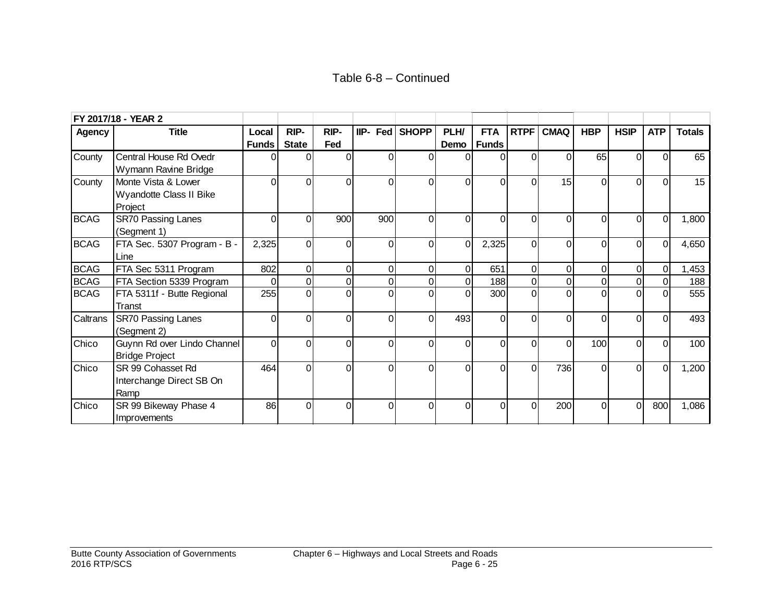|               | FY 2017/18 - YEAR 2                                       |              |                |          |            |                |             |                |                |                |                |                |                |               |
|---------------|-----------------------------------------------------------|--------------|----------------|----------|------------|----------------|-------------|----------------|----------------|----------------|----------------|----------------|----------------|---------------|
| <b>Agency</b> | <b>Title</b>                                              | Local        | RIP-           | RIP-     | $IIP-$ Fed | <b>SHOPP</b>   | PLH/        | <b>FTA</b>     | <b>RTPF</b>    | <b>CMAQ</b>    | <b>HBP</b>     | <b>HSIP</b>    | <b>ATP</b>     | <b>Totals</b> |
|               |                                                           | <b>Funds</b> | <b>State</b>   | Fed      |            |                | Demo        | <b>Funds</b>   |                |                |                |                |                |               |
| County        | Central House Rd Ovedr<br>Wymann Ravine Bridge            |              |                | $\Omega$ | 0          | $\Omega$       |             | $\Omega$       | $\overline{0}$ | $\Omega$       | 65             | $\Omega$       | U              | 65            |
| County        | Monte Vista & Lower<br>Wyandotte Class II Bike<br>Project | U            | $\Omega$       | $\Omega$ | 0          | $\Omega$       | $\Omega$    | $\Omega$       | $\Omega$       | 15             | $\Omega$       | $\Omega$       | $\Omega$       | 15            |
| <b>BCAG</b>   | <b>SR70 Passing Lanes</b><br>(Segment 1)                  | U            | 0              | 900      | 900        | $\Omega$       | 0           | 0              | 0              | $\Omega$       | $\Omega$       | 0              | $\Omega$       | 1,800         |
| <b>BCAG</b>   | FTA Sec. 5307 Program - B -<br>Line                       | 2,325        | $\Omega$       | $\Omega$ | $\Omega$   | $\Omega$       | $\Omega$    | 2,325          | $\Omega$       | $\Omega$       | $\Omega$       | $\Omega$       | $\Omega$       | 4,650         |
| <b>BCAG</b>   | FTA Sec 5311 Program                                      | 802          | $\overline{0}$ | 0        | 0          | $\overline{0}$ | 0           | 651            | $\overline{0}$ | $\mathbf 0$    | $\overline{0}$ | 0              | $\overline{O}$ | 1,453         |
| <b>BCAG</b>   | FTA Section 5339 Program                                  | $\Omega$     | $\overline{0}$ | 0        | 0          | $\overline{0}$ | $\mathbf 0$ | 188            | $\overline{0}$ | $\mathbf 0$    | $\overline{0}$ | $\overline{0}$ |                | 188           |
| <b>BCAG</b>   | FTA 5311f - Butte Regional<br>Transt                      | 255          | $\Omega$       | 0        | $\Omega$   | $\Omega$       | $\Omega$    | 300            | $\Omega$       | $\Omega$       | $\Omega$       | $\Omega$       |                | 555           |
| Caltrans      | <b>SR70 Passing Lanes</b><br>(Segment 2)                  | $\Omega$     | $\Omega$       | 0        | 0          | $\Omega$       | 493         | 0              | 0              | $\overline{0}$ | 0              | $\Omega$       | U              | 493           |
| Chico         | Guynn Rd over Lindo Channel<br><b>Bridge Project</b>      | $\Omega$     | $\Omega$       | $\Omega$ | $\Omega$   | $\Omega$       | $\Omega$    | $\Omega$       | $\Omega$       | $\Omega$       | 100            | $\Omega$       | ΩI             | 100           |
| Chico         | SR 99 Cohasset Rd<br>Interchange Direct SB On<br>Ramp     | 464          | $\Omega$       | $\Omega$ | $\Omega$   | $\Omega$       | $\Omega$    | $\overline{0}$ | $\Omega$       | 736            | $\Omega$       | $\Omega$       | $\Omega$       | 1,200         |
| Chico         | SR 99 Bikeway Phase 4<br>Improvements                     | 86           | $\Omega$       | $\Omega$ | $\Omega$   | $\Omega$       | $\Omega$    | $\Omega$       | $\Omega$       | 200            | $\Omega$       | $\Omega$       | 800            | 1,086         |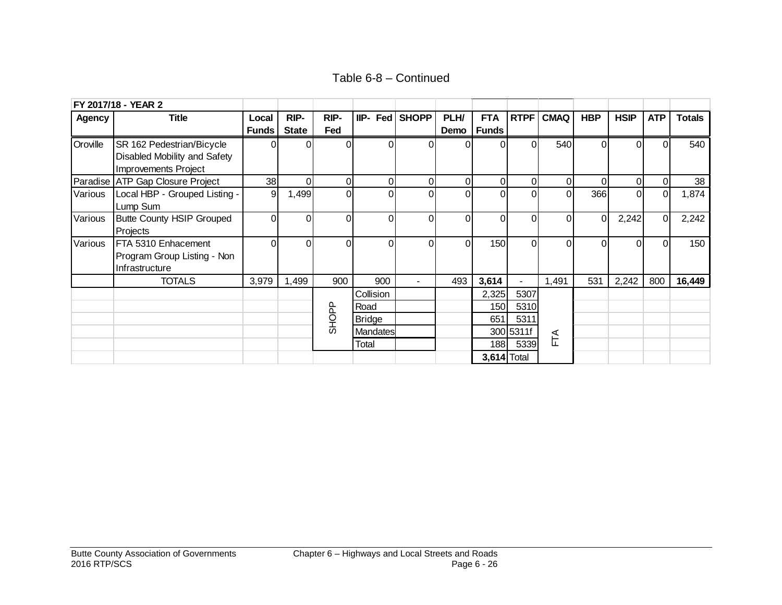Table 6-8 – Continued

|               | FY 2017/18 - YEAR 2              |                |              |                |                 |                |                |                    |             |             |                |             |            |               |
|---------------|----------------------------------|----------------|--------------|----------------|-----------------|----------------|----------------|--------------------|-------------|-------------|----------------|-------------|------------|---------------|
| <b>Agency</b> | <b>Title</b>                     | Local          | RIP-         | RIP-           | IIP- Fed        | <b>SHOPP</b>   | PLH/           | <b>FTA</b>         | <b>RTPF</b> | <b>CMAQ</b> | <b>HBP</b>     | <b>HSIP</b> | <b>ATP</b> | <b>Totals</b> |
|               |                                  | <b>Funds</b>   | <b>State</b> | Fed            |                 |                |                | Demo   Funds       |             |             |                |             |            |               |
| Oroville      | SR 162 Pedestrian/Bicycle        | U.             |              | 0              |                 | $\Omega$       | Ωl             | 0                  | 0           | 540         | 0              |             |            | 540           |
|               | Disabled Mobility and Safety     |                |              |                |                 |                |                |                    |             |             |                |             |            |               |
|               | Improvements Project             |                |              |                |                 |                |                |                    |             |             |                |             |            |               |
|               | Paradise ATP Gap Closure Project | 38             | ΩI           | $\overline{0}$ | 0               | $\overline{0}$ | $\overline{0}$ | $\boldsymbol{0}$   | 0           | $\Omega$    | $\Omega$       | $\Omega$    | 0l         | 38            |
| Various       | Local HBP - Grouped Listing -    | $\overline{9}$ | 1,499        | 0              |                 | $\Omega$       | $\Omega$       | $\overline{0}$     | $\Omega$    | $\Omega$    | 366            | $\Omega$    | O          | 1,874         |
|               | Lump Sum                         |                |              |                |                 |                |                |                    |             |             |                |             |            |               |
| Various       | <b>Butte County HSIP Grouped</b> | ΩI             | $\Omega$     | 0              | ი               | $\Omega$       | $\Omega$       | 0                  | 0           | $\Omega$    | $\overline{0}$ | 2,242       | $\Omega$   | 2,242         |
|               | Projects                         |                |              |                |                 |                |                |                    |             |             |                |             |            |               |
| Various       | FTA 5310 Enhacement              | U              | $\Omega$     | $\Omega$       | U               | $\Omega$       | $\Omega$       | 150                | 0           | $\Omega$    | $\Omega$       | ∩           | ΩI         | 150           |
|               | Program Group Listing - Non      |                |              |                |                 |                |                |                    |             |             |                |             |            |               |
|               | Infrastructure                   |                |              |                |                 |                |                |                    |             |             |                |             |            |               |
|               | <b>TOTALS</b>                    | 3,979          | ,499         | 900            | 900             |                | 493            | 3,614              |             | 1,491       | 531            | 2,242       | 800        | 16,449        |
|               |                                  |                |              |                | Collision       |                |                | 2,325              | 5307        |             |                |             |            |               |
|               |                                  |                |              |                | Road            |                |                | 150                | 5310        |             |                |             |            |               |
|               |                                  |                |              | <b>SHOPP</b>   | Bridge          |                |                | 651                | 5311        |             |                |             |            |               |
|               |                                  |                |              |                | <b>Mandates</b> |                |                |                    | 300 5311f   | FTA         |                |             |            |               |
|               |                                  |                |              |                | Total           |                |                | 188                | 5339        |             |                |             |            |               |
|               |                                  |                |              |                |                 |                |                | <b>3,614</b> Total |             |             |                |             |            |               |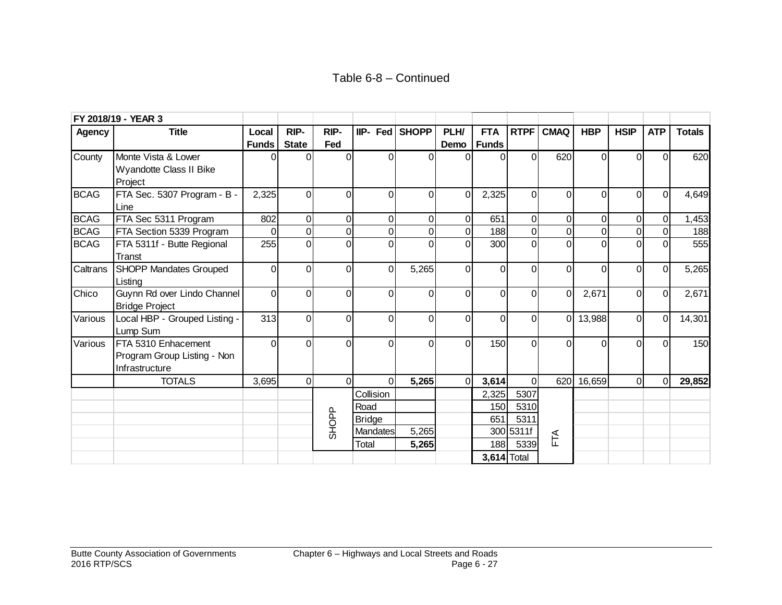|               | FY 2018/19 - YEAR 3                                                  |                |                |                |               |                |                |                |                |                |                     |             |                |               |
|---------------|----------------------------------------------------------------------|----------------|----------------|----------------|---------------|----------------|----------------|----------------|----------------|----------------|---------------------|-------------|----------------|---------------|
| <b>Agency</b> | <b>Title</b>                                                         | Local          | RIP-           | RIP-           | $IIP-$ Fed    | <b>SHOPP</b>   | PLH/           | <b>FTA</b>     | <b>RTPF</b>    | <b>CMAQ</b>    | <b>HBP</b>          | <b>HSIP</b> | <b>ATP</b>     | <b>Totals</b> |
|               |                                                                      | <b>Funds</b>   | <b>State</b>   | Fed            |               |                | Demo           | <b>Funds</b>   |                |                |                     |             |                |               |
| County        | Monte Vista & Lower<br>Wyandotte Class II Bike<br>Project            |                |                | $\Omega$       | 0             | $\overline{0}$ | 0              | $\Omega$       | 0              | 620            | $\Omega$            | $\Omega$    | $\Omega$       | 620           |
| <b>BCAG</b>   | FTA Sec. 5307 Program - B -<br>Line                                  | 2,325          | ΩI             | 0              | $\Omega$      | $\overline{0}$ | $\overline{0}$ | 2,325          | 0              | $\Omega$       | $\Omega$            | $\Omega$    | $\Omega$       | 4,649         |
| <b>BCAG</b>   | FTA Sec 5311 Program                                                 | 802            | Οl             | $\overline{0}$ | $\mathbf 0$   | $\overline{0}$ | $\overline{0}$ | 651            | $\overline{0}$ | $\overline{0}$ | $\overline{0}$      | 0           | $\overline{0}$ | 1,453         |
| <b>BCAG</b>   | FTA Section 5339 Program                                             | $\Omega$       | $\overline{0}$ | $\overline{0}$ | $\Omega$      | $\overline{0}$ | $\overline{0}$ | 188            | $\overline{0}$ | $\overline{0}$ | $\mathsf{O}\xspace$ | 0           | $\Omega$       | 188           |
| <b>BCAG</b>   | FTA 5311f - Butte Regional<br>Transt                                 | 255            | $\Omega$       | $\overline{0}$ |               | $\Omega$       | $\overline{0}$ | 300            | 0              | $\Omega$       | $\Omega$            | $\Omega$    |                | 555           |
| Caltrans      | <b>SHOPP Mandates Grouped</b><br>Listina                             | $\Omega$       | 0              | $\Omega$       | $\Omega$      | 5,265          | $\Omega$       | $\Omega$       | 0              | $\Omega$       | $\Omega$            | $\Omega$    | $\Omega$       | 5,265         |
| Chico         | Guynn Rd over Lindo Channel<br><b>Bridge Project</b>                 | $\overline{0}$ | ΩI             | $\Omega$       | $\Omega$      | $\overline{0}$ | $\Omega$       | $\overline{0}$ | $\Omega$       | $\overline{0}$ | 2,671               | ΩI          | $\Omega$       | 2,671         |
| Various       | Local HBP - Grouped Listing -<br>Lump Sum                            | 313            | ΩI             | $\overline{0}$ | $\Omega$      | $\Omega$       | $\overline{0}$ | $\overline{0}$ | $\Omega$       | 0              | 13,988              | $\Omega$    | $\Omega$       | 14,301        |
| Various       | FTA 5310 Enhacement<br>Program Group Listing - Non<br>Infrastructure | $\Omega$       | $\Omega$       | $\Omega$       | $\Omega$      | $\Omega$       | $\overline{0}$ | 150            | $\Omega$       | $\Omega$       | $\Omega$            | $\Omega$    | $\Omega$       | 150           |
|               | <b>TOTALS</b>                                                        | 3,695          | 0              | $\overline{0}$ | $\Omega$      | 5,265          | $\Omega$       | 3,614          | $\Omega$       | 620            | 16,659              | $\Omega$    | $\Omega$       | 29,852        |
|               |                                                                      |                |                |                | Collision     |                |                | 2,325          | 5307           |                |                     |             |                |               |
|               |                                                                      |                |                |                | Road          |                |                | 150            | 5310           |                |                     |             |                |               |
|               |                                                                      |                |                |                | <b>Bridge</b> |                |                | 651            | 5311           |                |                     |             |                |               |
|               |                                                                      |                |                | <b>SHOPP</b>   | Mandates      | 5,265          |                | 300            | 5311f          |                |                     |             |                |               |
|               |                                                                      |                |                |                | Total         | 5,265          |                | 188            | 5339           | FTA            |                     |             |                |               |
|               |                                                                      |                |                |                |               |                |                |                | $3,614$ Total  |                |                     |             |                |               |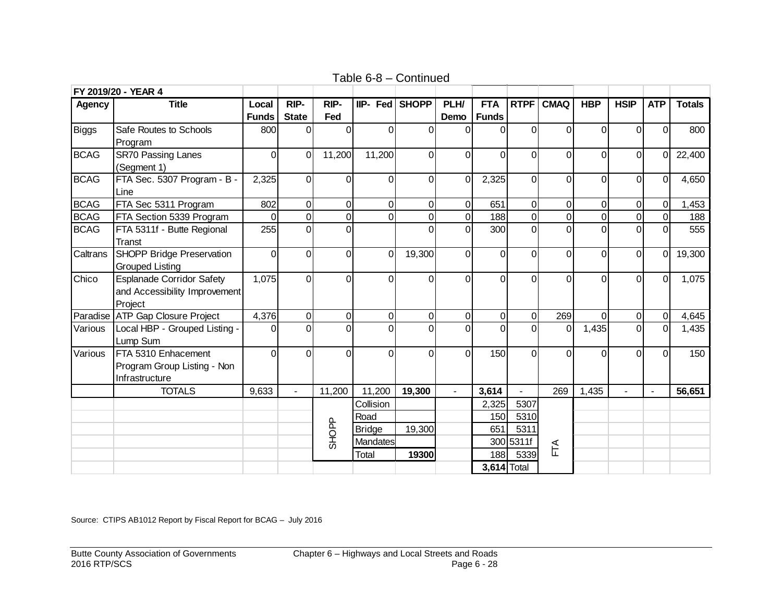|             | FY 2019/20 - YEAR 4              |              |                |                |                |                |                |                    |                |                |                |                |                |               |
|-------------|----------------------------------|--------------|----------------|----------------|----------------|----------------|----------------|--------------------|----------------|----------------|----------------|----------------|----------------|---------------|
| Agency      | <b>Title</b>                     | Local        | RIP-           | RIP-           | IIP- Fed SHOPP |                | PLH/           | <b>FTA</b>         | <b>RTPF</b>    | <b>CMAQ</b>    | <b>HBP</b>     | <b>HSIP</b>    | <b>ATP</b>     | <b>Totals</b> |
|             |                                  | <b>Funds</b> | <b>State</b>   | Fed            |                |                | Demo           | <b>Funds</b>       |                |                |                |                |                |               |
| Biggs       | Safe Routes to Schools           | 800          | ΩI             | $\Omega$       | $\Omega$       | $\Omega$       | $\Omega$       | $\Omega$           | $\overline{0}$ | $\Omega$       | $\Omega$       | $\Omega$       | $\Omega$       | 800           |
|             | Program                          |              |                |                |                |                |                |                    |                |                |                |                |                |               |
| <b>BCAG</b> | <b>SR70 Passing Lanes</b>        | $\Omega$     | $\Omega$       | 11,200         | 11,200         | $\overline{0}$ | 0              | $\Omega$           | 0              | 0              | $\mathbf 0$    | $\overline{0}$ | $\Omega$       | 22,400        |
|             | (Segment 1)                      |              |                |                |                |                |                |                    |                |                |                |                |                |               |
| <b>BCAG</b> | FTA Sec. 5307 Program - B -      | 2,325        | ΩI             | $\mathbf 0$    | $\overline{0}$ | $\overline{0}$ | $\overline{0}$ | 2,325              | $\overline{0}$ | 0              | $\overline{0}$ | $\overline{0}$ | $\Omega$       | 4,650         |
|             | Line                             |              |                |                |                |                |                |                    |                |                |                |                |                |               |
| <b>BCAG</b> | FTA Sec 5311 Program             | 802          | 0              | $\mathbf 0$    | $\overline{0}$ | $\overline{0}$ | $\overline{0}$ | 651                | $\overline{0}$ | $\overline{0}$ | $\overline{0}$ | 0              | $\overline{0}$ | 1,453         |
| <b>BCAG</b> | FTA Section 5339 Program         |              | $\Omega$       | $\overline{0}$ | $\overline{0}$ | $\overline{0}$ | $\overline{0}$ | 188                | $\overline{0}$ | $\overline{0}$ | $\overline{0}$ | $\overline{0}$ |                | 188           |
| <b>BCAG</b> | FTA 5311f - Butte Regional       | 255          | ΩI             | $\overline{0}$ |                | 0              | $\overline{0}$ | 300                | $\overline{0}$ | $\overline{0}$ | $\overline{0}$ | $\overline{0}$ |                | 555           |
|             | Transt                           |              |                |                |                |                |                |                    |                |                |                |                |                |               |
| Caltrans    | SHOPP Bridge Preservation        | $\Omega$     | ΩI             | $\mathbf 0$    | $\Omega$       | 19,300         | $\Omega$       | 0                  | 0              | $\Omega$       | $\overline{0}$ | $\Omega$       | $\Omega$       | 19,300        |
|             | <b>Grouped Listing</b>           |              |                |                |                |                |                |                    |                |                |                |                |                |               |
| Chico       | <b>Esplanade Corridor Safety</b> | 1,075        | ΩI             | $\overline{0}$ | $\Omega$       | 0              | $\Omega$       | $\Omega$           | $\Omega$       | $\overline{0}$ | $\Omega$       | $\overline{0}$ | $\Omega$       | 1,075         |
|             | and Accessibility Improvement    |              |                |                |                |                |                |                    |                |                |                |                |                |               |
|             | Project                          |              |                |                |                |                |                |                    |                |                |                |                |                |               |
| Paradise    | <b>ATP Gap Closure Project</b>   | 4,376        | $\Omega$       | $\mathbf 0$    | $\mathbf 0$    | $\overline{0}$ | $\overline{0}$ | $\overline{0}$     | $\overline{0}$ | 269            | $\Omega$       | 0              | $\Omega$       | 4,645         |
| Various     | Local HBP - Grouped Listing -    | $\Omega$     | ΩI             | $\overline{0}$ | $\Omega$       | $\Omega$       | $\Omega$       | $\Omega$           | $\overline{0}$ | $\overline{0}$ | 1,435          | $\overline{0}$ | $\Omega$       | 1,435         |
|             | Lump Sum                         |              |                |                |                |                |                |                    |                |                |                |                |                |               |
| Various     | FTA 5310 Enhacement              | $\Omega$     | $\Omega$       | $\Omega$       | $\Omega$       | $\Omega$       | $\Omega$       | 150                | $\Omega$       | $\Omega$       | $\overline{0}$ | $\overline{0}$ | $\Omega$       | 150           |
|             | Program Group Listing - Non      |              |                |                |                |                |                |                    |                |                |                |                |                |               |
|             | Infrastructure                   |              |                |                |                |                |                |                    |                |                |                |                |                |               |
|             | <b>TOTALS</b>                    | 9,633        | $\overline{a}$ | 11,200         | 11,200         | 19,300         |                | 3,614              |                | 269            | 1,435          |                | $\overline{a}$ | 56,651        |
|             |                                  |              |                |                | Collision      |                |                | 2,325              | 5307           |                |                |                |                |               |
|             |                                  |              |                |                | Road           |                |                | 150                | 5310           |                |                |                |                |               |
|             |                                  |              |                |                | <b>Bridge</b>  | 19,300         |                | 651                | 5311           |                |                |                |                |               |
|             |                                  |              |                | <b>SHOPP</b>   | Mandates       |                |                |                    | 300 5311f      | FTA            |                |                |                |               |
|             |                                  |              |                |                | Total          | 19300          |                | 188                | 5339           |                |                |                |                |               |
|             |                                  |              |                |                |                |                |                | <b>3,614 Total</b> |                |                |                |                |                |               |

Table 6-8 – Continued

Source: CTIPS AB1012 Report by Fiscal Report for BCAG – July 2016